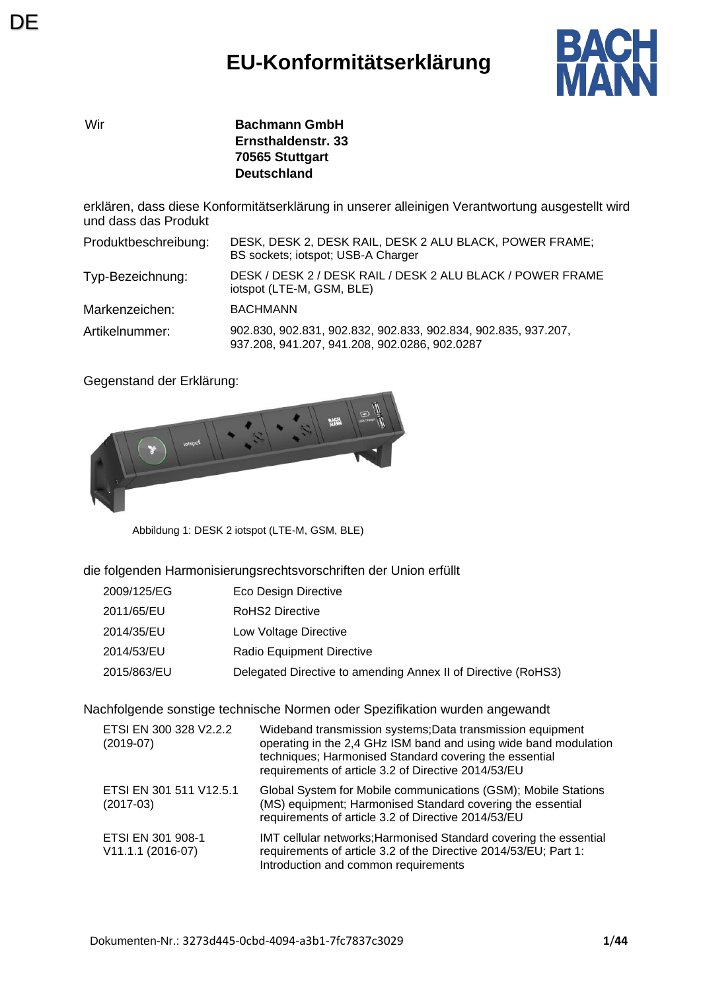# **EU-Konformitätserklärung**



Wir **Bachmann GmbH Ernsthaldenstr. 33 70565 Stuttgart Deutschland**

erklären, dass diese Konformitätserklärung in unserer alleinigen Verantwortung ausgestellt wird und dass das Produkt

| Produktbeschreibung: | DESK, DESK 2, DESK RAIL, DESK 2 ALU BLACK, POWER FRAME;<br>BS sockets; iotspot; USB-A Charger                   |
|----------------------|-----------------------------------------------------------------------------------------------------------------|
| Typ-Bezeichnung:     | DESK / DESK 2 / DESK RAIL / DESK 2 ALU BLACK / POWER FRAME<br>iotspot (LTE-M, GSM, BLE)                         |
| Markenzeichen:       | <b>BACHMANN</b>                                                                                                 |
| Artikelnummer:       | 902.830, 902.831, 902.832, 902.833, 902.834, 902.835, 937.207,<br>937.208, 941.207, 941.208, 902.0286, 902.0287 |

Gegenstand der Erklärung:



Abbildung 1: DESK 2 iotspot (LTE-M, GSM, BLE)

#### die folgenden Harmonisierungsrechtsvorschriften der Union erfüllt

| 2009/125/EG | Eco Design Directive |
|-------------|----------------------|
|-------------|----------------------|

- 2011/65/EU RoHS2 Directive
- 2014/35/EU Low Voltage Directive
- 2014/53/EU Radio Equipment Directive
- 2015/863/EU Delegated Directive to amending Annex II of Directive (RoHS3)

Nachfolgende sonstige technische Normen oder Spezifikation wurden angewandt

| ETSI EN 300 328 V2.2.2<br>$(2019-07)$    | Wideband transmission systems; Data transmission equipment<br>operating in the 2,4 GHz ISM band and using wide band modulation<br>techniques; Harmonised Standard covering the essential<br>requirements of article 3.2 of Directive 2014/53/EU |
|------------------------------------------|-------------------------------------------------------------------------------------------------------------------------------------------------------------------------------------------------------------------------------------------------|
| ETSI EN 301 511 V12.5.1<br>$(2017-03)$   | Global System for Mobile communications (GSM); Mobile Stations<br>(MS) equipment; Harmonised Standard covering the essential<br>requirements of article 3.2 of Directive 2014/53/EU                                                             |
| ETSI EN 301 908-1<br>$V11.1.1 (2016-07)$ | IMT cellular networks; Harmonised Standard covering the essential<br>requirements of article 3.2 of the Directive 2014/53/EU; Part 1:<br>Introduction and common requirements                                                                   |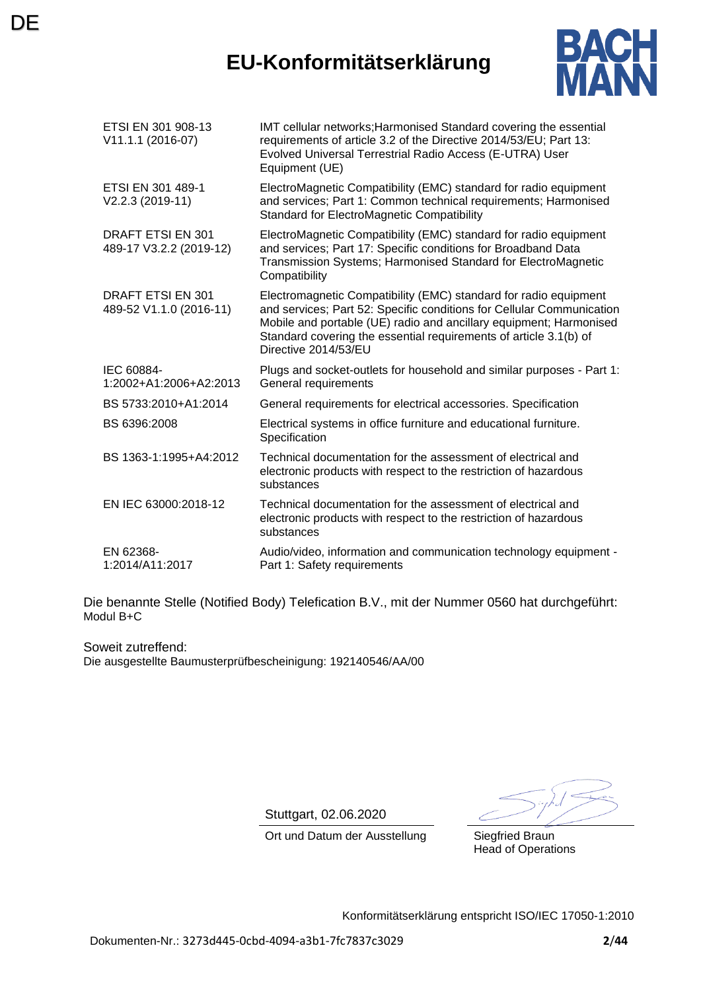### **EU-Konformitätserklärung**

**DE** 



| ETSI EN 301 908-13<br>V11.1.1 (2016-07)             | IMT cellular networks; Harmonised Standard covering the essential<br>requirements of article 3.2 of the Directive 2014/53/EU; Part 13:<br>Evolved Universal Terrestrial Radio Access (E-UTRA) User<br>Equipment (UE)                                                                                         |
|-----------------------------------------------------|--------------------------------------------------------------------------------------------------------------------------------------------------------------------------------------------------------------------------------------------------------------------------------------------------------------|
| ETSI EN 301 489-1<br>V2.2.3 (2019-11)               | ElectroMagnetic Compatibility (EMC) standard for radio equipment<br>and services; Part 1: Common technical requirements; Harmonised<br><b>Standard for ElectroMagnetic Compatibility</b>                                                                                                                     |
| DRAFT ETSI EN 301<br>489-17 V3.2.2 (2019-12)        | ElectroMagnetic Compatibility (EMC) standard for radio equipment<br>and services; Part 17: Specific conditions for Broadband Data<br>Transmission Systems; Harmonised Standard for ElectroMagnetic<br>Compatibility                                                                                          |
| <b>DRAFT ETSI EN 301</b><br>489-52 V1.1.0 (2016-11) | Electromagnetic Compatibility (EMC) standard for radio equipment<br>and services; Part 52: Specific conditions for Cellular Communication<br>Mobile and portable (UE) radio and ancillary equipment; Harmonised<br>Standard covering the essential requirements of article 3.1(b) of<br>Directive 2014/53/EU |
| IEC 60884-<br>1:2002+A1:2006+A2:2013                | Plugs and socket-outlets for household and similar purposes - Part 1:<br>General requirements                                                                                                                                                                                                                |
| BS 5733:2010+A1:2014                                | General requirements for electrical accessories. Specification                                                                                                                                                                                                                                               |
| BS 6396:2008                                        | Electrical systems in office furniture and educational furniture.<br>Specification                                                                                                                                                                                                                           |
| BS 1363-1:1995+A4:2012                              | Technical documentation for the assessment of electrical and<br>electronic products with respect to the restriction of hazardous<br>substances                                                                                                                                                               |
| EN IEC 63000:2018-12                                | Technical documentation for the assessment of electrical and<br>electronic products with respect to the restriction of hazardous<br>substances                                                                                                                                                               |
| EN 62368-<br>1:2014/A11:2017                        | Audio/video, information and communication technology equipment -<br>Part 1: Safety requirements                                                                                                                                                                                                             |

Die benannte Stelle (Notified Body) Telefication B.V., mit der Nummer 0560 hat durchgeführt: Modul B+C

Soweit zutreffend: Die ausgestellte Baumusterprüfbescheinigung: 192140546/AA/00

Stuttgart, 02.06.2020

Ort und Datum der Ausstellung Siegfried Braun Head of Operations

Konformitätserklärung entspricht ISO/IEC 17050-1:2010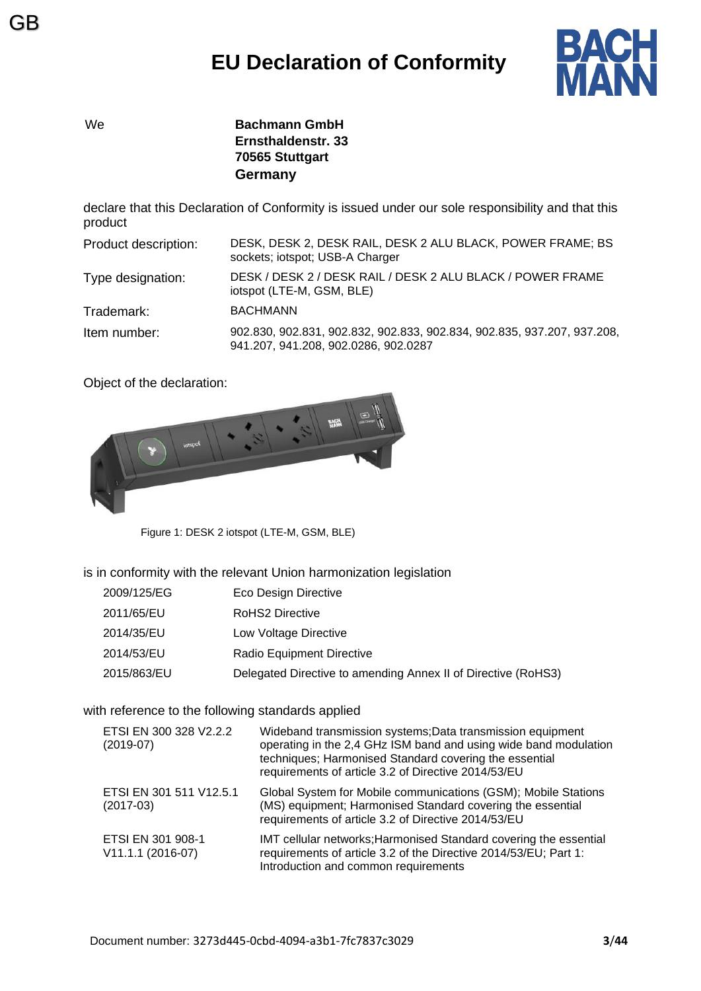

GB

We **Bachmann GmbH Ernsthaldenstr. 33 70565 Stuttgart Germany**

declare that this Declaration of Conformity is issued under our sole responsibility and that this product

| Product description: | DESK, DESK 2, DESK RAIL, DESK 2 ALU BLACK, POWER FRAME; BS<br>sockets; iotspot; USB-A Charger                   |
|----------------------|-----------------------------------------------------------------------------------------------------------------|
| Type designation:    | DESK / DESK 2 / DESK RAIL / DESK 2 ALU BLACK / POWER FRAME<br>iotspot (LTE-M, GSM, BLE)                         |
| Trademark:           | <b>BACHMANN</b>                                                                                                 |
| Item number:         | 902.830, 902.831, 902.832, 902.833, 902.834, 902.835, 937.207, 937.208,<br>941.207, 941.208, 902.0286, 902.0287 |

Object of the declaration:



Figure 1: DESK 2 iotspot (LTE-M, GSM, BLE)

is in conformity with the relevant Union harmonization legislation

- 2009/125/EG Eco Design Directive
- 2011/65/EU RoHS2 Directive
- 2014/35/EU Low Voltage Directive
- 2014/53/EU Radio Equipment Directive
- 2015/863/EU Delegated Directive to amending Annex II of Directive (RoHS3)

#### with reference to the following standards applied

| ETSI EN 300 328 V2.2.2<br>$(2019-07)$  | Wideband transmission systems; Data transmission equipment<br>operating in the 2,4 GHz ISM band and using wide band modulation<br>techniques; Harmonised Standard covering the essential<br>requirements of article 3.2 of Directive 2014/53/EU |
|----------------------------------------|-------------------------------------------------------------------------------------------------------------------------------------------------------------------------------------------------------------------------------------------------|
| ETSI EN 301 511 V12.5.1<br>$(2017-03)$ | Global System for Mobile communications (GSM); Mobile Stations<br>(MS) equipment; Harmonised Standard covering the essential<br>requirements of article 3.2 of Directive 2014/53/EU                                                             |
| ETSI EN 301 908-1<br>V11.1.1 (2016-07) | IMT cellular networks; Harmonised Standard covering the essential<br>requirements of article 3.2 of the Directive 2014/53/EU; Part 1:<br>Introduction and common requirements                                                                   |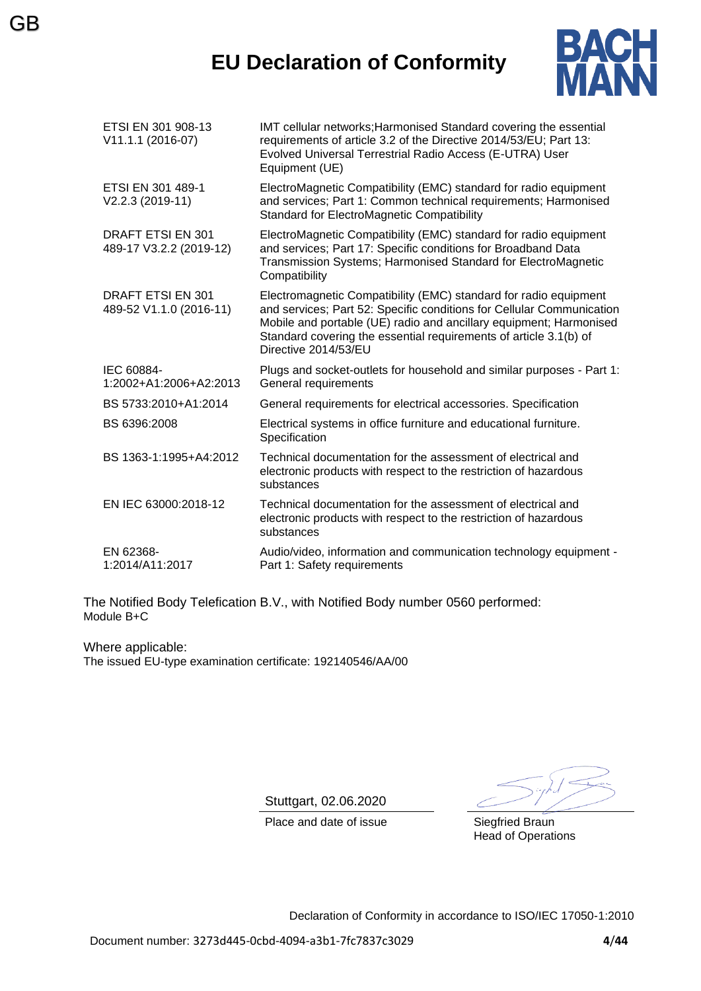### **EU Declaration of Conformity**

GB



| ETSI EN 301 908-13<br>V11.1.1 (2016-07)             | IMT cellular networks; Harmonised Standard covering the essential<br>requirements of article 3.2 of the Directive 2014/53/EU; Part 13:<br>Evolved Universal Terrestrial Radio Access (E-UTRA) User<br>Equipment (UE)                                                                                         |
|-----------------------------------------------------|--------------------------------------------------------------------------------------------------------------------------------------------------------------------------------------------------------------------------------------------------------------------------------------------------------------|
| ETSI EN 301 489-1<br>V2.2.3 (2019-11)               | ElectroMagnetic Compatibility (EMC) standard for radio equipment<br>and services; Part 1: Common technical requirements; Harmonised<br><b>Standard for ElectroMagnetic Compatibility</b>                                                                                                                     |
| DRAFT ETSI EN 301<br>489-17 V3.2.2 (2019-12)        | ElectroMagnetic Compatibility (EMC) standard for radio equipment<br>and services; Part 17: Specific conditions for Broadband Data<br>Transmission Systems; Harmonised Standard for ElectroMagnetic<br>Compatibility                                                                                          |
| <b>DRAFT ETSI EN 301</b><br>489-52 V1.1.0 (2016-11) | Electromagnetic Compatibility (EMC) standard for radio equipment<br>and services; Part 52: Specific conditions for Cellular Communication<br>Mobile and portable (UE) radio and ancillary equipment; Harmonised<br>Standard covering the essential requirements of article 3.1(b) of<br>Directive 2014/53/EU |
| IEC 60884-<br>1:2002+A1:2006+A2:2013                | Plugs and socket-outlets for household and similar purposes - Part 1:<br>General requirements                                                                                                                                                                                                                |
| BS 5733:2010+A1:2014                                | General requirements for electrical accessories. Specification                                                                                                                                                                                                                                               |
| BS 6396:2008                                        | Electrical systems in office furniture and educational furniture.<br>Specification                                                                                                                                                                                                                           |
| BS 1363-1:1995+A4:2012                              | Technical documentation for the assessment of electrical and<br>electronic products with respect to the restriction of hazardous<br>substances                                                                                                                                                               |
| EN IEC 63000:2018-12                                | Technical documentation for the assessment of electrical and<br>electronic products with respect to the restriction of hazardous<br>substances                                                                                                                                                               |
| EN 62368-<br>1:2014/A11:2017                        | Audio/video, information and communication technology equipment -<br>Part 1: Safety requirements                                                                                                                                                                                                             |

The Notified Body Telefication B.V., with Notified Body number 0560 performed: Module B+C

Where applicable: The issued EU-type examination certificate: 192140546/AA/00

Stuttgart, 02.06.2020

Place and date of issue Siegfried Braun

Head of Operations

Declaration of Conformity in accordance to ISO/IEC 17050-1:2010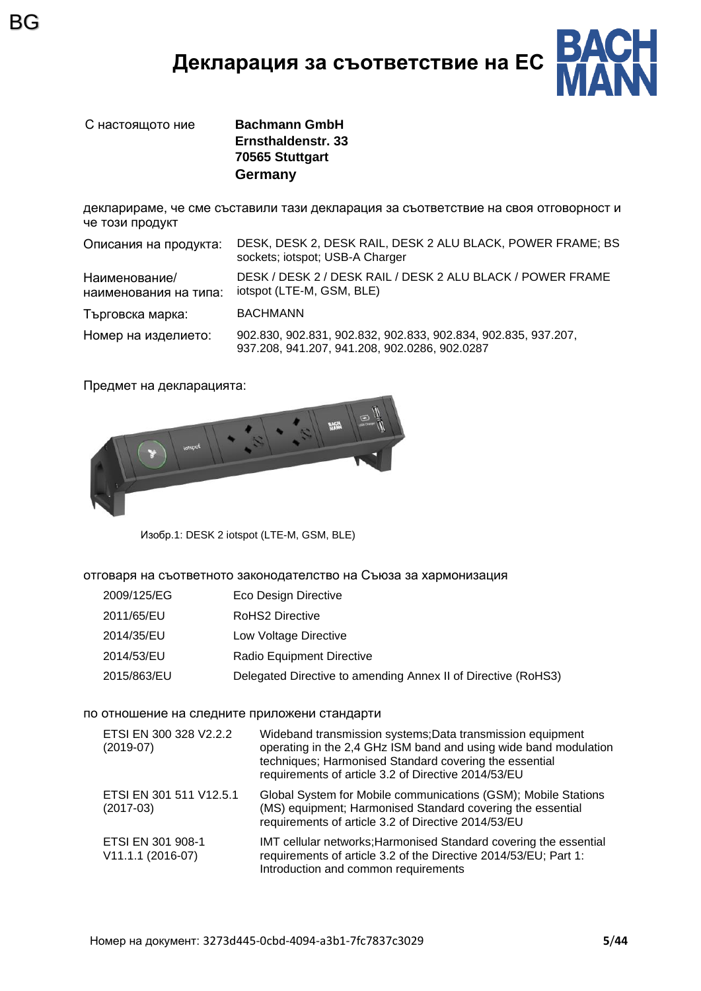### **Декларация за съответствие на ЕС**



С настоящото ние **Bachmann GmbH Ernsthaldenstr. 33 70565 Stuttgart Germany**

декларираме, че сме съставили тази декларация за съответствие на своя отговорност и че този продукт

| Описания на продукта:                  | DESK, DESK 2, DESK RAIL, DESK 2 ALU BLACK, POWER FRAME; BS<br>sockets; iotspot; USB-A Charger                   |
|----------------------------------------|-----------------------------------------------------------------------------------------------------------------|
| Наименование/<br>наименования на типа: | DESK / DESK 2 / DESK RAIL / DESK 2 ALU BLACK / POWER FRAME<br>iotspot (LTE-M, GSM, BLE)                         |
| Търговска марка:                       | <b>BACHMANN</b>                                                                                                 |
| Номер на изделието:                    | 902.830, 902.831, 902.832, 902.833, 902.834, 902.835, 937.207,<br>937.208, 941.207, 941.208, 902.0286, 902.0287 |

Предмет на декларацията:



Изобр.1: DESK 2 iotspot (LTE-M, GSM, BLE)

отговаря на съответното законодателство на Съюза за хармонизация

- 2009/125/EG Eco Design Directive
- 2011/65/EU RoHS2 Directive
- 2014/35/EU Low Voltage Directive
- 2014/53/EU Radio Equipment Directive
- 2015/863/EU Delegated Directive to amending Annex II of Directive (RoHS3)

#### по отношение на следните приложени стандарти

| ETSI EN 300 328 V2.2.2<br>$(2019-07)$  | Wideband transmission systems; Data transmission equipment<br>operating in the 2,4 GHz ISM band and using wide band modulation<br>techniques; Harmonised Standard covering the essential<br>requirements of article 3.2 of Directive 2014/53/EU |
|----------------------------------------|-------------------------------------------------------------------------------------------------------------------------------------------------------------------------------------------------------------------------------------------------|
| ETSI EN 301 511 V12.5.1<br>$(2017-03)$ | Global System for Mobile communications (GSM); Mobile Stations<br>(MS) equipment; Harmonised Standard covering the essential<br>requirements of article 3.2 of Directive 2014/53/EU                                                             |
| ETSI EN 301 908-1<br>V11.1.1 (2016-07) | IMT cellular networks; Harmonised Standard covering the essential<br>requirements of article 3.2 of the Directive 2014/53/EU; Part 1:<br>Introduction and common requirements                                                                   |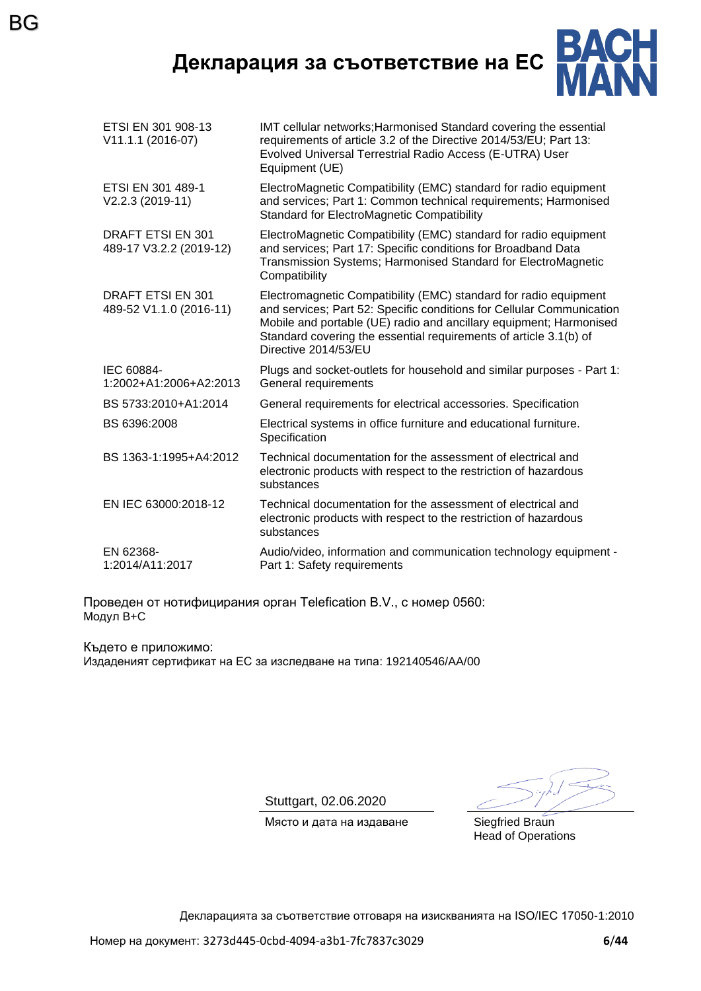**Декларация за съответствие на ЕС**



| ETSI EN 301 908-13<br>V11.1.1 (2016-07)             | IMT cellular networks; Harmonised Standard covering the essential<br>requirements of article 3.2 of the Directive 2014/53/EU; Part 13:<br>Evolved Universal Terrestrial Radio Access (E-UTRA) User<br>Equipment (UE)                                                                                         |
|-----------------------------------------------------|--------------------------------------------------------------------------------------------------------------------------------------------------------------------------------------------------------------------------------------------------------------------------------------------------------------|
| ETSI EN 301 489-1<br>V2.2.3 (2019-11)               | ElectroMagnetic Compatibility (EMC) standard for radio equipment<br>and services; Part 1: Common technical requirements; Harmonised<br><b>Standard for ElectroMagnetic Compatibility</b>                                                                                                                     |
| DRAFT ETSI EN 301<br>489-17 V3.2.2 (2019-12)        | ElectroMagnetic Compatibility (EMC) standard for radio equipment<br>and services; Part 17: Specific conditions for Broadband Data<br>Transmission Systems; Harmonised Standard for ElectroMagnetic<br>Compatibility                                                                                          |
| <b>DRAFT ETSI EN 301</b><br>489-52 V1.1.0 (2016-11) | Electromagnetic Compatibility (EMC) standard for radio equipment<br>and services; Part 52: Specific conditions for Cellular Communication<br>Mobile and portable (UE) radio and ancillary equipment; Harmonised<br>Standard covering the essential requirements of article 3.1(b) of<br>Directive 2014/53/EU |
| IEC 60884-<br>1:2002+A1:2006+A2:2013                | Plugs and socket-outlets for household and similar purposes - Part 1:<br>General requirements                                                                                                                                                                                                                |
| BS 5733:2010+A1:2014                                | General requirements for electrical accessories. Specification                                                                                                                                                                                                                                               |
| BS 6396:2008                                        | Electrical systems in office furniture and educational furniture.<br>Specification                                                                                                                                                                                                                           |
| BS 1363-1:1995+A4:2012                              | Technical documentation for the assessment of electrical and<br>electronic products with respect to the restriction of hazardous<br>substances                                                                                                                                                               |
| EN IEC 63000:2018-12                                | Technical documentation for the assessment of electrical and<br>electronic products with respect to the restriction of hazardous<br>substances                                                                                                                                                               |
| EN 62368-<br>1:2014/A11:2017                        | Audio/video, information and communication technology equipment -<br>Part 1: Safety requirements                                                                                                                                                                                                             |
|                                                     |                                                                                                                                                                                                                                                                                                              |

Проведен от нотифицирания орган Telefication B.V., с номер 0560: Модул B+C

Където е приложимо: Издаденият сертификат на ЕС за изследване на типа: 192140546/AA/00

Stuttgart, 02.06.2020

Място и дата на издаване Siegfried Braun

Head of Operations

Декларацията за съответствие отговаря на изискванията на ISO/IEC 17050-1:2010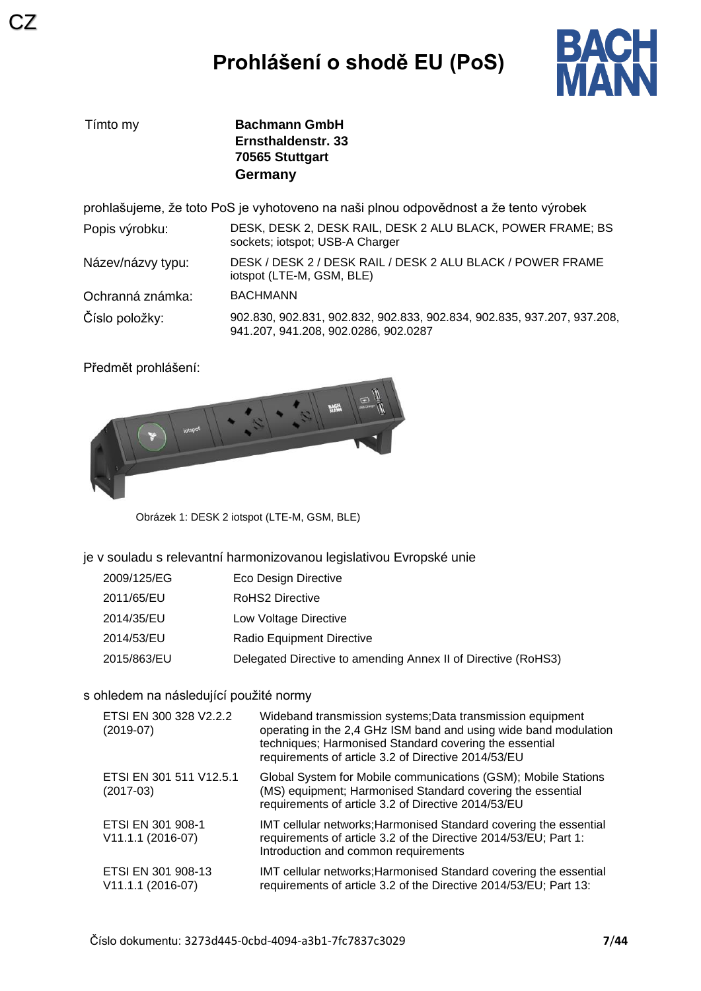

| Tímto my          | <b>Bachmann GmbH</b><br>Ernsthaldenstr, 33<br>70565 Stuttgart<br>Germany                                        |
|-------------------|-----------------------------------------------------------------------------------------------------------------|
|                   | prohlašujeme, že toto PoS je vyhotoveno na naši plnou odpovědnost a že tento výrobek                            |
| Popis výrobku:    | DESK, DESK 2, DESK RAIL, DESK 2 ALU BLACK, POWER FRAME; BS<br>sockets; iotspot; USB-A Charger                   |
| Název/názvy typu: | DESK / DESK 2 / DESK RAIL / DESK 2 ALU BLACK / POWER FRAME<br>iotspot (LTE-M, GSM, BLE)                         |
| Ochranná známka:  | <b>BACHMANN</b>                                                                                                 |
| Číslo položky:    | 902.830, 902.831, 902.832, 902.833, 902.834, 902.835, 937.207, 937.208,<br>941.207, 941.208, 902.0286, 902.0287 |

Předmět prohlášení:



Obrázek 1: DESK 2 iotspot (LTE-M, GSM, BLE)

#### je v souladu s relevantní harmonizovanou legislativou Evropské unie

| 2009/125/EG | Eco Design Directive                                          |
|-------------|---------------------------------------------------------------|
| 2011/65/EU  | RoHS2 Directive                                               |
| 2014/35/EU  | Low Voltage Directive                                         |
| 2014/53/EU  | Radio Equipment Directive                                     |
| 2015/863/EU | Delegated Directive to amending Annex II of Directive (RoHS3) |

#### s ohledem na následující použité normy

| ETSI EN 300 328 V2.2.2<br>$(2019-07)$   | Wideband transmission systems; Data transmission equipment<br>operating in the 2,4 GHz ISM band and using wide band modulation<br>techniques; Harmonised Standard covering the essential<br>requirements of article 3.2 of Directive 2014/53/EU |
|-----------------------------------------|-------------------------------------------------------------------------------------------------------------------------------------------------------------------------------------------------------------------------------------------------|
| ETSI EN 301 511 V12.5.1<br>$(2017-03)$  | Global System for Mobile communications (GSM); Mobile Stations<br>(MS) equipment; Harmonised Standard covering the essential<br>requirements of article 3.2 of Directive 2014/53/EU                                                             |
| ETSI EN 301 908-1<br>V11.1.1 (2016-07)  | IMT cellular networks; Harmonised Standard covering the essential<br>requirements of article 3.2 of the Directive 2014/53/EU; Part 1:<br>Introduction and common requirements                                                                   |
| ETSI EN 301 908-13<br>V11.1.1 (2016-07) | IMT cellular networks; Harmonised Standard covering the essential<br>requirements of article 3.2 of the Directive 2014/53/EU; Part 13:                                                                                                          |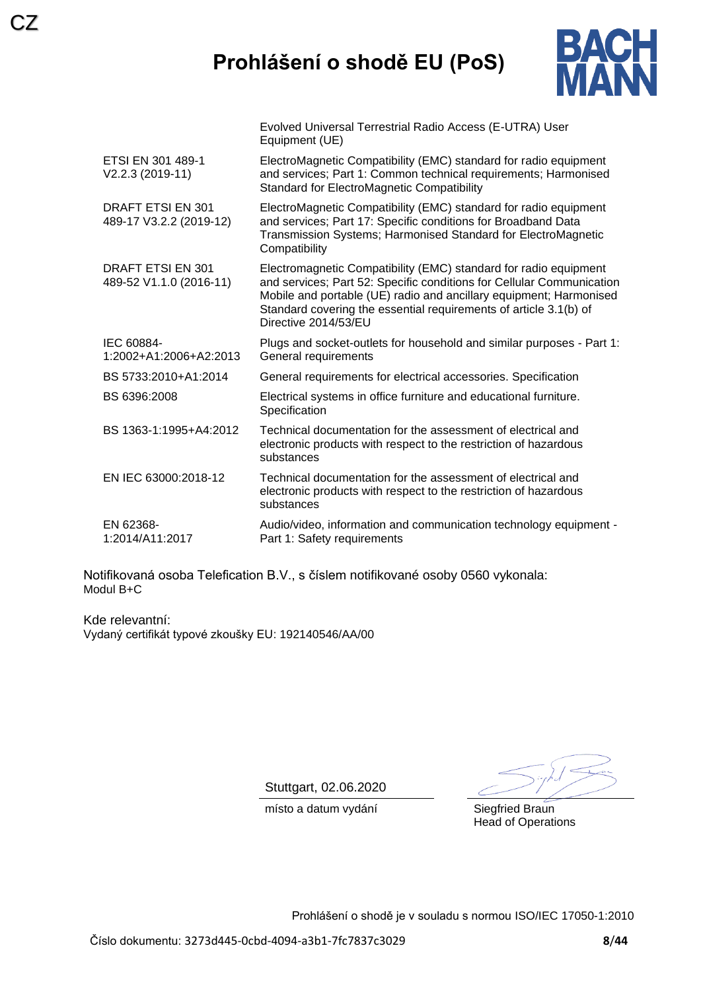# **Prohlášení o shodě EU (PoS)**

Evolved Universal Terrestrial Radio Access (E-UTRA) User



|                                              | Equipment (UE)                                                                                                                                                                                                                                                                                               |
|----------------------------------------------|--------------------------------------------------------------------------------------------------------------------------------------------------------------------------------------------------------------------------------------------------------------------------------------------------------------|
| ETSI EN 301 489-1<br>V2.2.3 (2019-11)        | ElectroMagnetic Compatibility (EMC) standard for radio equipment<br>and services; Part 1: Common technical requirements; Harmonised<br><b>Standard for ElectroMagnetic Compatibility</b>                                                                                                                     |
| DRAFT ETSI EN 301<br>489-17 V3.2.2 (2019-12) | ElectroMagnetic Compatibility (EMC) standard for radio equipment<br>and services; Part 17: Specific conditions for Broadband Data<br>Transmission Systems; Harmonised Standard for ElectroMagnetic<br>Compatibility                                                                                          |
| DRAFT ETSI EN 301<br>489-52 V1.1.0 (2016-11) | Electromagnetic Compatibility (EMC) standard for radio equipment<br>and services; Part 52: Specific conditions for Cellular Communication<br>Mobile and portable (UE) radio and ancillary equipment; Harmonised<br>Standard covering the essential requirements of article 3.1(b) of<br>Directive 2014/53/EU |
| IEC 60884-<br>1:2002+A1:2006+A2:2013         | Plugs and socket-outlets for household and similar purposes - Part 1:<br>General requirements                                                                                                                                                                                                                |
| BS 5733:2010+A1:2014                         | General requirements for electrical accessories. Specification                                                                                                                                                                                                                                               |
| BS 6396:2008                                 | Electrical systems in office furniture and educational furniture.<br>Specification                                                                                                                                                                                                                           |
| BS 1363-1:1995+A4:2012                       | Technical documentation for the assessment of electrical and<br>electronic products with respect to the restriction of hazardous<br>substances                                                                                                                                                               |
| EN IEC 63000:2018-12                         | Technical documentation for the assessment of electrical and<br>electronic products with respect to the restriction of hazardous<br>substances                                                                                                                                                               |
| EN 62368-<br>1:2014/A11:2017                 | Audio/video, information and communication technology equipment -<br>Part 1: Safety requirements                                                                                                                                                                                                             |

Notifikovaná osoba Telefication B.V., s číslem notifikované osoby 0560 vykonala: Modul B+C

Kde relevantní: Vydaný certifikát typové zkoušky EU: 192140546/AA/00

Stuttgart, 02.06.2020

místo a datum vydání **Siegfried Braun** 

Head of Operations

Prohlášení o shodě je v souladu s normou ISO/IEC 17050-1:2010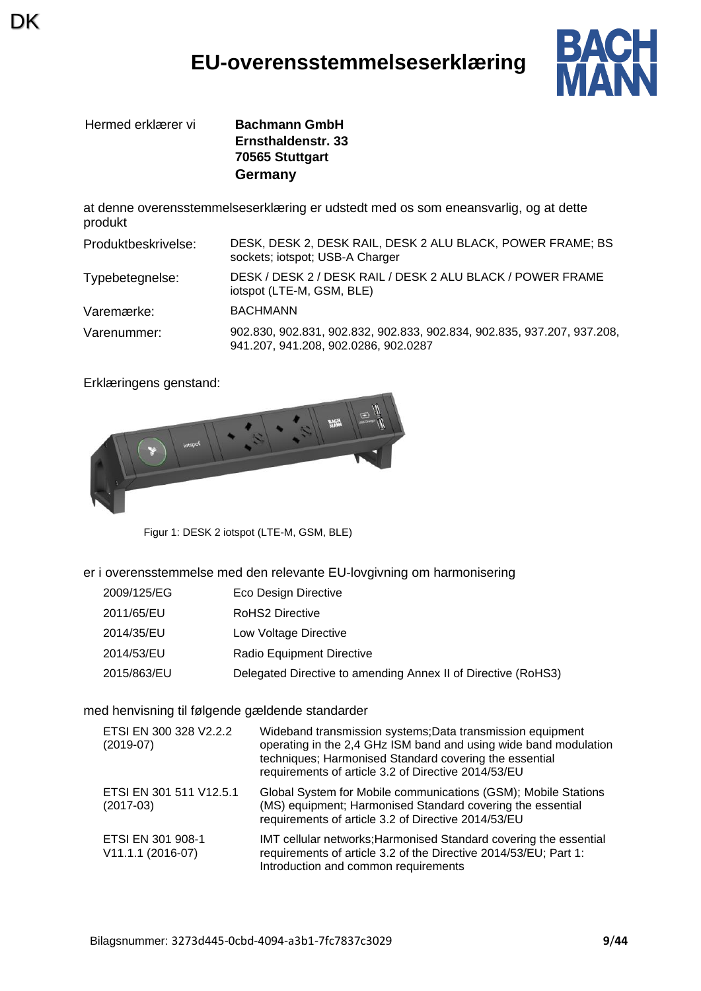### **EU-overensstemmelseserklæring**



Hermed erklærer vi **Bachmann GmbH**

DK

**Ernsthaldenstr. 33 70565 Stuttgart Germany**

at denne overensstemmelseserklæring er udstedt med os som eneansvarlig, og at dette produkt

| Produktbeskrivelse: | DESK, DESK 2, DESK RAIL, DESK 2 ALU BLACK, POWER FRAME; BS<br>sockets; iotspot; USB-A Charger                   |
|---------------------|-----------------------------------------------------------------------------------------------------------------|
| Typebetegnelse:     | DESK / DESK 2 / DESK RAIL / DESK 2 ALU BLACK / POWER FRAME<br>iotspot (LTE-M, GSM, BLE)                         |
| Varemærke:          | <b>BACHMANN</b>                                                                                                 |
| Varenummer:         | 902.830, 902.831, 902.832, 902.833, 902.834, 902.835, 937.207, 937.208,<br>941.207, 941.208, 902.0286, 902.0287 |

Erklæringens genstand:



Figur 1: DESK 2 iotspot (LTE-M, GSM, BLE)

er i overensstemmelse med den relevante EU-lovgivning om harmonisering

- 2009/125/EG Eco Design Directive
- 2011/65/EU RoHS2 Directive
- 2014/35/EU Low Voltage Directive
- 2014/53/EU Radio Equipment Directive
- 2015/863/EU Delegated Directive to amending Annex II of Directive (RoHS3)

#### med henvisning til følgende gældende standarder

| ETSI EN 300 328 V2.2.2<br>$(2019-07)$  | Wideband transmission systems; Data transmission equipment<br>operating in the 2,4 GHz ISM band and using wide band modulation<br>techniques; Harmonised Standard covering the essential<br>requirements of article 3.2 of Directive 2014/53/EU |
|----------------------------------------|-------------------------------------------------------------------------------------------------------------------------------------------------------------------------------------------------------------------------------------------------|
| ETSI EN 301 511 V12.5.1<br>$(2017-03)$ | Global System for Mobile communications (GSM); Mobile Stations<br>(MS) equipment; Harmonised Standard covering the essential<br>requirements of article 3.2 of Directive 2014/53/EU                                                             |
| ETSI EN 301 908-1<br>V11.1.1 (2016-07) | IMT cellular networks; Harmonised Standard covering the essential<br>requirements of article 3.2 of the Directive 2014/53/EU; Part 1:<br>Introduction and common requirements                                                                   |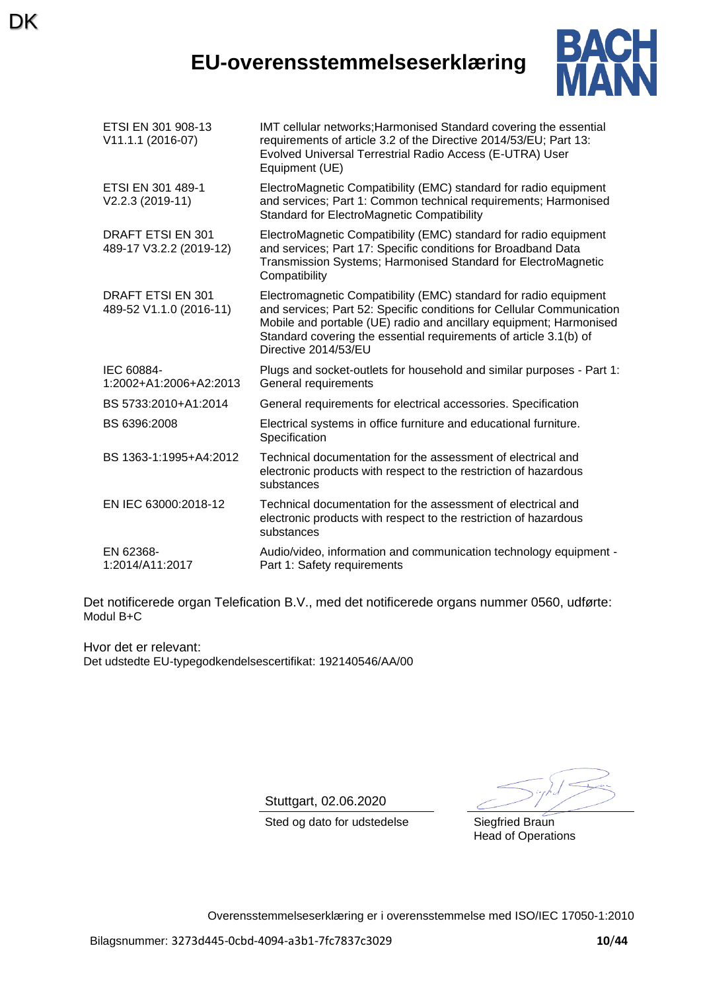### **EU-overensstemmelseserklæring**

**DK** 



| ETSI EN 301 908-13<br>V11.1.1 (2016-07)      | IMT cellular networks; Harmonised Standard covering the essential<br>requirements of article 3.2 of the Directive 2014/53/EU; Part 13:<br>Evolved Universal Terrestrial Radio Access (E-UTRA) User<br>Equipment (UE)                                                                                         |
|----------------------------------------------|--------------------------------------------------------------------------------------------------------------------------------------------------------------------------------------------------------------------------------------------------------------------------------------------------------------|
| ETSI EN 301 489-1<br>V2.2.3 (2019-11)        | ElectroMagnetic Compatibility (EMC) standard for radio equipment<br>and services; Part 1: Common technical requirements; Harmonised<br><b>Standard for ElectroMagnetic Compatibility</b>                                                                                                                     |
| DRAFT ETSI EN 301<br>489-17 V3.2.2 (2019-12) | ElectroMagnetic Compatibility (EMC) standard for radio equipment<br>and services; Part 17: Specific conditions for Broadband Data<br>Transmission Systems; Harmonised Standard for ElectroMagnetic<br>Compatibility                                                                                          |
| DRAFT ETSI EN 301<br>489-52 V1.1.0 (2016-11) | Electromagnetic Compatibility (EMC) standard for radio equipment<br>and services; Part 52: Specific conditions for Cellular Communication<br>Mobile and portable (UE) radio and ancillary equipment; Harmonised<br>Standard covering the essential requirements of article 3.1(b) of<br>Directive 2014/53/EU |
| IEC 60884-<br>1:2002+A1:2006+A2:2013         | Plugs and socket-outlets for household and similar purposes - Part 1:<br>General requirements                                                                                                                                                                                                                |
| BS 5733:2010+A1:2014                         | General requirements for electrical accessories. Specification                                                                                                                                                                                                                                               |
| BS 6396:2008                                 | Electrical systems in office furniture and educational furniture.<br>Specification                                                                                                                                                                                                                           |
| BS 1363-1:1995+A4:2012                       | Technical documentation for the assessment of electrical and<br>electronic products with respect to the restriction of hazardous<br>substances                                                                                                                                                               |
| EN IEC 63000:2018-12                         | Technical documentation for the assessment of electrical and<br>electronic products with respect to the restriction of hazardous<br>substances                                                                                                                                                               |
| EN 62368-<br>1:2014/A11:2017                 | Audio/video, information and communication technology equipment -<br>Part 1: Safety requirements                                                                                                                                                                                                             |

Det notificerede organ Telefication B.V., med det notificerede organs nummer 0560, udførte: Modul B+C

Hvor det er relevant: Det udstedte EU-typegodkendelsescertifikat: 192140546/AA/00

Stuttgart, 02.06.2020

Sted og dato for udstedelse Siegfried Braun

Head of Operations

Overensstemmelseserklæring er i overensstemmelse med ISO/IEC 17050-1:2010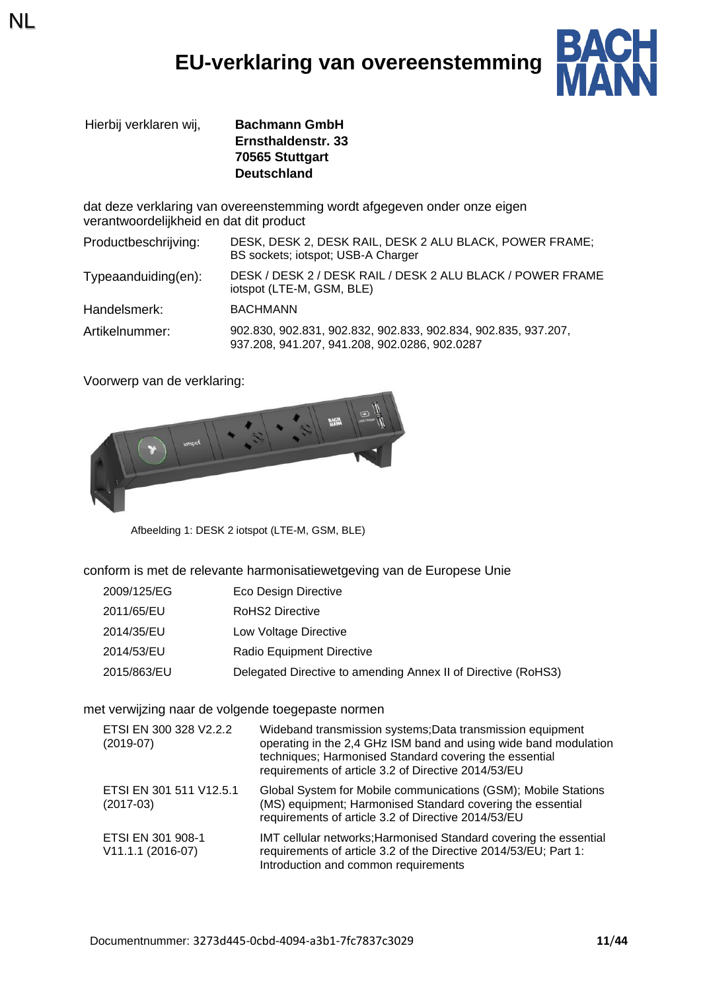# **EU-verklaring van overeenstemming**



Hierbij verklaren wij, **Bachmann GmbH Ernsthaldenstr. 33 70565 Stuttgart Deutschland**

dat deze verklaring van overeenstemming wordt afgegeven onder onze eigen verantwoordelijkheid en dat dit product

| Productbeschrijving:    | DESK, DESK 2, DESK RAIL, DESK 2 ALU BLACK, POWER FRAME;<br>BS sockets; iotspot; USB-A Charger                   |
|-------------------------|-----------------------------------------------------------------------------------------------------------------|
| $Typea anduiding(en)$ : | DESK / DESK 2 / DESK RAIL / DESK 2 ALU BLACK / POWER FRAME<br>iotspot (LTE-M, GSM, BLE)                         |
| Handelsmerk:            | <b>BACHMANN</b>                                                                                                 |
| Artikelnummer:          | 902.830, 902.831, 902.832, 902.833, 902.834, 902.835, 937.207,<br>937.208, 941.207, 941.208, 902.0286, 902.0287 |

Voorwerp van de verklaring:

NL



Afbeelding 1: DESK 2 iotspot (LTE-M, GSM, BLE)

conform is met de relevante harmonisatiewetgeving van de Europese Unie

- 2009/125/EG Eco Design Directive
- 2011/65/EU RoHS2 Directive
- 2014/35/EU Low Voltage Directive
- 2014/53/EU Radio Equipment Directive
- 2015/863/EU Delegated Directive to amending Annex II of Directive (RoHS3)

met verwijzing naar de volgende toegepaste normen

| ETSI EN 300 328 V2.2.2<br>$(2019-07)$  | Wideband transmission systems; Data transmission equipment<br>operating in the 2,4 GHz ISM band and using wide band modulation<br>techniques; Harmonised Standard covering the essential<br>requirements of article 3.2 of Directive 2014/53/EU |
|----------------------------------------|-------------------------------------------------------------------------------------------------------------------------------------------------------------------------------------------------------------------------------------------------|
| ETSI EN 301 511 V12.5.1<br>$(2017-03)$ | Global System for Mobile communications (GSM); Mobile Stations<br>(MS) equipment; Harmonised Standard covering the essential<br>requirements of article 3.2 of Directive 2014/53/EU                                                             |
| ETSI EN 301 908-1<br>V11.1.1 (2016-07) | IMT cellular networks; Harmonised Standard covering the essential<br>requirements of article 3.2 of the Directive 2014/53/EU; Part 1:<br>Introduction and common requirements                                                                   |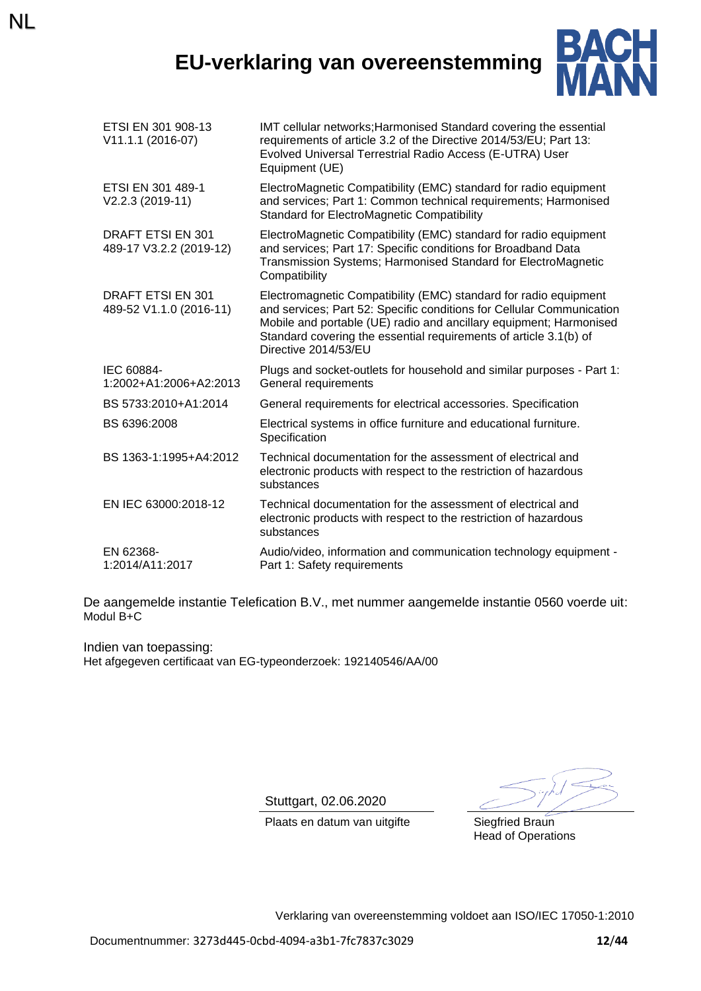# **EU-verklaring van overeenstemming**

NL



| ETSI EN 301 908-13<br>V11.1.1 (2016-07)             | IMT cellular networks; Harmonised Standard covering the essential<br>requirements of article 3.2 of the Directive 2014/53/EU; Part 13:<br>Evolved Universal Terrestrial Radio Access (E-UTRA) User<br>Equipment (UE)                                                                                         |
|-----------------------------------------------------|--------------------------------------------------------------------------------------------------------------------------------------------------------------------------------------------------------------------------------------------------------------------------------------------------------------|
| ETSI EN 301 489-1<br>V2.2.3 (2019-11)               | ElectroMagnetic Compatibility (EMC) standard for radio equipment<br>and services; Part 1: Common technical requirements; Harmonised<br><b>Standard for ElectroMagnetic Compatibility</b>                                                                                                                     |
| <b>DRAFT ETSI EN 301</b><br>489-17 V3.2.2 (2019-12) | ElectroMagnetic Compatibility (EMC) standard for radio equipment<br>and services; Part 17: Specific conditions for Broadband Data<br>Transmission Systems; Harmonised Standard for ElectroMagnetic<br>Compatibility                                                                                          |
| <b>DRAFT ETSI EN 301</b><br>489-52 V1.1.0 (2016-11) | Electromagnetic Compatibility (EMC) standard for radio equipment<br>and services; Part 52: Specific conditions for Cellular Communication<br>Mobile and portable (UE) radio and ancillary equipment; Harmonised<br>Standard covering the essential requirements of article 3.1(b) of<br>Directive 2014/53/EU |
| IEC 60884-<br>1:2002+A1:2006+A2:2013                | Plugs and socket-outlets for household and similar purposes - Part 1:<br>General requirements                                                                                                                                                                                                                |
| BS 5733:2010+A1:2014                                | General requirements for electrical accessories. Specification                                                                                                                                                                                                                                               |
| BS 6396:2008                                        | Electrical systems in office furniture and educational furniture.<br>Specification                                                                                                                                                                                                                           |
| BS 1363-1:1995+A4:2012                              | Technical documentation for the assessment of electrical and<br>electronic products with respect to the restriction of hazardous<br>substances                                                                                                                                                               |
| EN IEC 63000:2018-12                                | Technical documentation for the assessment of electrical and<br>electronic products with respect to the restriction of hazardous<br>substances                                                                                                                                                               |
| EN 62368-<br>1:2014/A11:2017                        | Audio/video, information and communication technology equipment -<br>Part 1: Safety requirements                                                                                                                                                                                                             |

De aangemelde instantie Telefication B.V., met nummer aangemelde instantie 0560 voerde uit: Modul B+C

Indien van toepassing: Het afgegeven certificaat van EG-typeonderzoek: 192140546/AA/00

Stuttgart, 02.06.2020

Plaats en datum van uitgifte Siegfried Braun

Head of Operations

Verklaring van overeenstemming voldoet aan ISO/IEC 17050-1:2010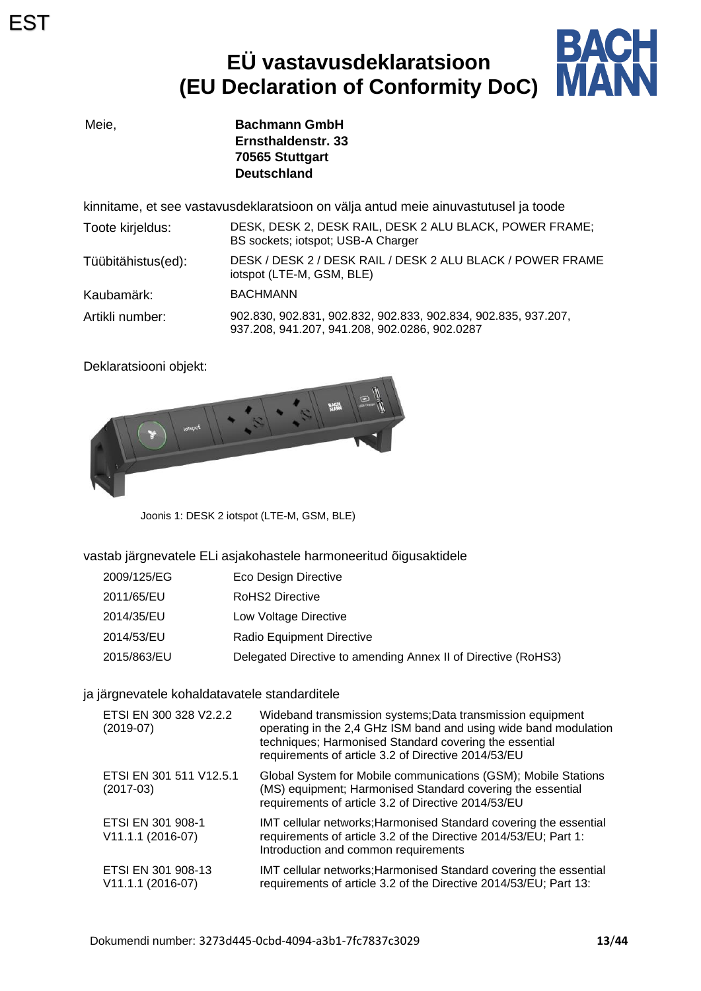# **EÜ vastavusdeklaratsioon (EU Declaration of Conformity DoC)**



Meie, **Bachmann GmbH Ernsthaldenstr. 33 70565 Stuttgart Deutschland**

kinnitame, et see vastavusdeklaratsioon on välja antud meie ainuvastutusel ja toode

| Toote kirjeldus:   | DESK, DESK 2, DESK RAIL, DESK 2 ALU BLACK, POWER FRAME;<br>BS sockets; iotspot; USB-A Charger                   |
|--------------------|-----------------------------------------------------------------------------------------------------------------|
| Tüübitähistus(ed): | DESK / DESK 2 / DESK RAIL / DESK 2 ALU BLACK / POWER FRAME<br>iotspot (LTE-M, GSM, BLE)                         |
| Kaubamärk:         | <b>BACHMANN</b>                                                                                                 |
| Artikli number:    | 902.830, 902.831, 902.832, 902.833, 902.834, 902.835, 937.207,<br>937.208, 941.207, 941.208, 902.0286, 902.0287 |

Deklaratsiooni objekt:



Joonis 1: DESK 2 iotspot (LTE-M, GSM, BLE)

vastab järgnevatele ELi asjakohastele harmoneeritud õigusaktidele

| 2009/125/EG | Eco Design Directive                                          |
|-------------|---------------------------------------------------------------|
| 2011/65/EU  | <b>RoHS2 Directive</b>                                        |
| 2014/35/EU  | Low Voltage Directive                                         |
| 2014/53/EU  | Radio Equipment Directive                                     |
| 2015/863/EU | Delegated Directive to amending Annex II of Directive (RoHS3) |

#### ja järgnevatele kohaldatavatele standarditele

| ETSI EN 300 328 V2.2.2<br>$(2019-07)$     | Wideband transmission systems; Data transmission equipment<br>operating in the 2,4 GHz ISM band and using wide band modulation<br>techniques; Harmonised Standard covering the essential<br>requirements of article 3.2 of Directive 2014/53/EU |
|-------------------------------------------|-------------------------------------------------------------------------------------------------------------------------------------------------------------------------------------------------------------------------------------------------|
| ETSI EN 301 511 V12.5.1<br>$(2017-03)$    | Global System for Mobile communications (GSM); Mobile Stations<br>(MS) equipment; Harmonised Standard covering the essential<br>requirements of article 3.2 of Directive 2014/53/EU                                                             |
| ETSI EN 301 908-1<br>V11.1.1 (2016-07)    | IMT cellular networks; Harmonised Standard covering the essential<br>requirements of article 3.2 of the Directive 2014/53/EU; Part 1:<br>Introduction and common requirements                                                                   |
| ETSI EN 301 908-13<br>$V11.1.1 (2016-07)$ | IMT cellular networks; Harmonised Standard covering the essential<br>requirements of article 3.2 of the Directive 2014/53/EU; Part 13:                                                                                                          |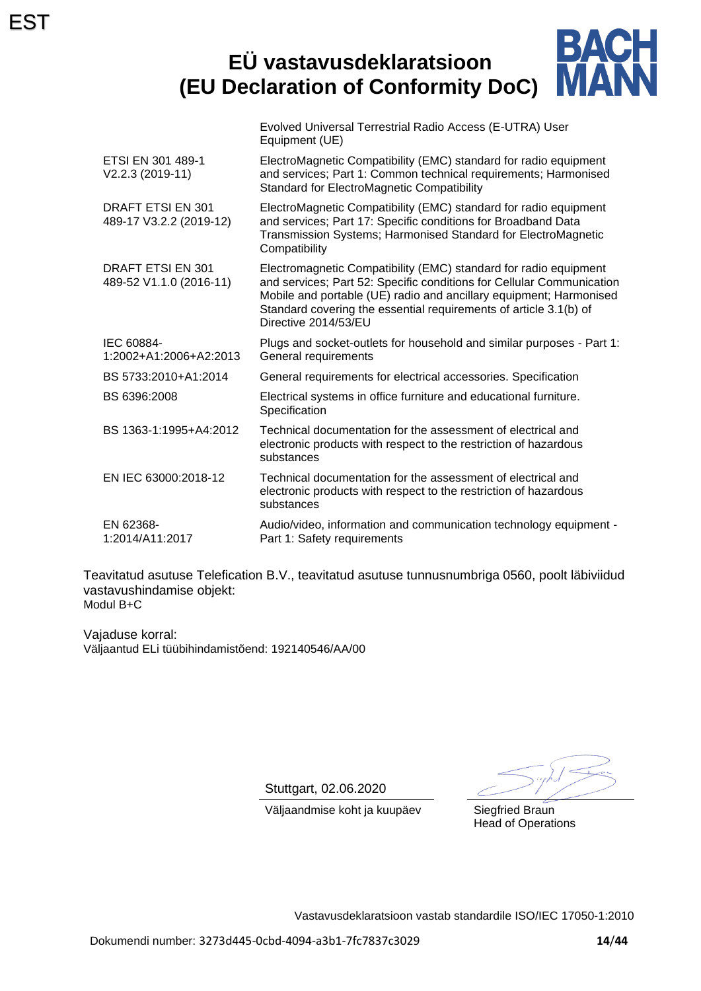#### BACH **EÜ vastavusdeklaratsioon MAR (EU Declaration of Conformity DoC)**

|                                              | Evolved Universal Terrestrial Radio Access (E-UTRA) User<br>Equipment (UE)                                                                                                                                                                                                                                   |
|----------------------------------------------|--------------------------------------------------------------------------------------------------------------------------------------------------------------------------------------------------------------------------------------------------------------------------------------------------------------|
| ETSI EN 301 489-1<br>V2.2.3 (2019-11)        | ElectroMagnetic Compatibility (EMC) standard for radio equipment<br>and services; Part 1: Common technical requirements; Harmonised<br><b>Standard for ElectroMagnetic Compatibility</b>                                                                                                                     |
| DRAFT ETSI EN 301<br>489-17 V3.2.2 (2019-12) | ElectroMagnetic Compatibility (EMC) standard for radio equipment<br>and services; Part 17: Specific conditions for Broadband Data<br>Transmission Systems; Harmonised Standard for ElectroMagnetic<br>Compatibility                                                                                          |
| DRAFT ETSI EN 301<br>489-52 V1.1.0 (2016-11) | Electromagnetic Compatibility (EMC) standard for radio equipment<br>and services; Part 52: Specific conditions for Cellular Communication<br>Mobile and portable (UE) radio and ancillary equipment; Harmonised<br>Standard covering the essential requirements of article 3.1(b) of<br>Directive 2014/53/EU |
| IEC 60884-<br>1:2002+A1:2006+A2:2013         | Plugs and socket-outlets for household and similar purposes - Part 1:<br>General requirements                                                                                                                                                                                                                |
| BS 5733:2010+A1:2014                         | General requirements for electrical accessories. Specification                                                                                                                                                                                                                                               |
| BS 6396:2008                                 | Electrical systems in office furniture and educational furniture.<br>Specification                                                                                                                                                                                                                           |
| BS 1363-1:1995+A4:2012                       | Technical documentation for the assessment of electrical and<br>electronic products with respect to the restriction of hazardous<br>substances                                                                                                                                                               |
| EN IEC 63000:2018-12                         | Technical documentation for the assessment of electrical and<br>electronic products with respect to the restriction of hazardous<br>substances                                                                                                                                                               |
| EN 62368-<br>1:2014/A11:2017                 | Audio/video, information and communication technology equipment -<br>Part 1: Safety requirements                                                                                                                                                                                                             |

Teavitatud asutuse Telefication B.V., teavitatud asutuse tunnusnumbriga 0560, poolt läbiviidud vastavushindamise objekt: Modul B+C

Vajaduse korral: Väljaantud ELi tüübihindamistõend: 192140546/AA/00

Stuttgart, 02.06.2020

Head of Operations

Väljaandmise koht ja kuupäev Siegfried Braun

Vastavusdeklaratsioon vastab standardile ISO/IEC 17050-1:2010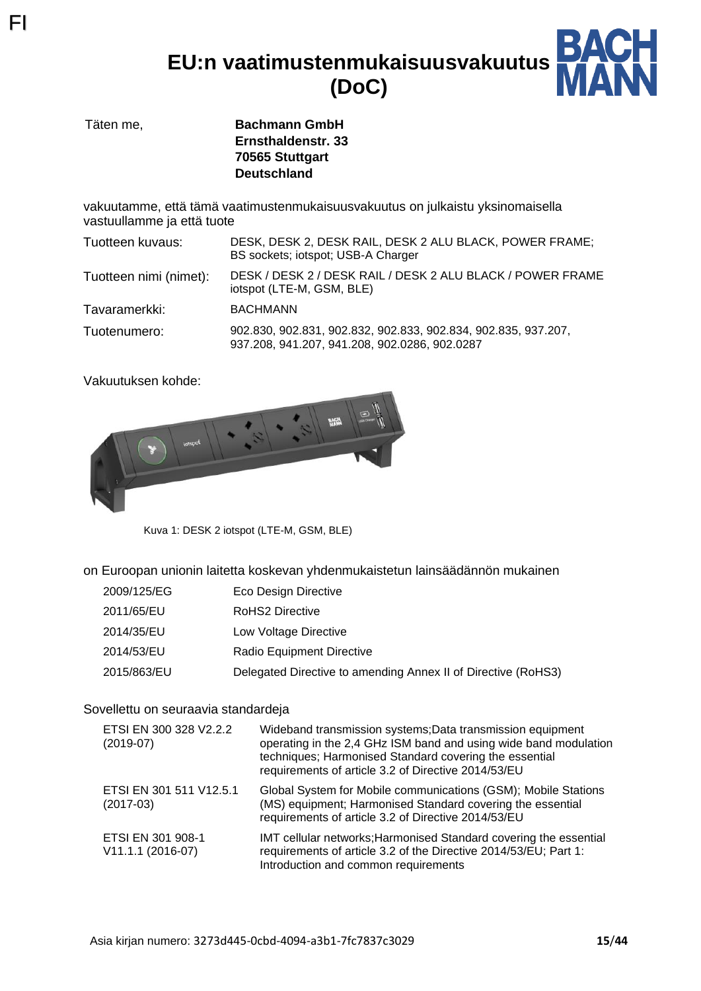**EU:n vaatimustenmukaisuusvakuutus (DoC)**



Täten me, **Bachmann GmbH Ernsthaldenstr. 33 70565 Stuttgart Deutschland**

vakuutamme, että tämä vaatimustenmukaisuusvakuutus on julkaistu yksinomaisella vastuullamme ja että tuote

| Tuotteen kuvaus:       | DESK, DESK 2, DESK RAIL, DESK 2 ALU BLACK, POWER FRAME;<br>BS sockets; iotspot; USB-A Charger                   |
|------------------------|-----------------------------------------------------------------------------------------------------------------|
| Tuotteen nimi (nimet): | DESK / DESK 2 / DESK RAIL / DESK 2 ALU BLACK / POWER FRAME<br>iotspot (LTE-M, GSM, BLE)                         |
| Tavaramerkki:          | <b>BACHMANN</b>                                                                                                 |
| Tuotenumero:           | 902.830, 902.831, 902.832, 902.833, 902.834, 902.835, 937.207,<br>937.208, 941.207, 941.208, 902.0286, 902.0287 |

Vakuutuksen kohde:

FI



Kuva 1: DESK 2 iotspot (LTE-M, GSM, BLE)

on Euroopan unionin laitetta koskevan yhdenmukaistetun lainsäädännön mukainen

| 2009/125/EG | Eco Design Directive |
|-------------|----------------------|
|-------------|----------------------|

- 2011/65/EU RoHS2 Directive
- 2014/35/EU Low Voltage Directive
- 2014/53/EU Radio Equipment Directive
- 2015/863/EU Delegated Directive to amending Annex II of Directive (RoHS3)

#### Sovellettu on seuraavia standardeja

| ETSI EN 300 328 V2.2.2<br>$(2019-07)$  | Wideband transmission systems; Data transmission equipment<br>operating in the 2,4 GHz ISM band and using wide band modulation<br>techniques; Harmonised Standard covering the essential<br>requirements of article 3.2 of Directive 2014/53/EU |
|----------------------------------------|-------------------------------------------------------------------------------------------------------------------------------------------------------------------------------------------------------------------------------------------------|
| ETSI EN 301 511 V12.5.1<br>$(2017-03)$ | Global System for Mobile communications (GSM); Mobile Stations<br>(MS) equipment; Harmonised Standard covering the essential<br>requirements of article 3.2 of Directive 2014/53/EU                                                             |
| ETSI EN 301 908-1<br>V11.1.1 (2016-07) | IMT cellular networks; Harmonised Standard covering the essential<br>requirements of article 3.2 of the Directive 2014/53/EU; Part 1:<br>Introduction and common requirements                                                                   |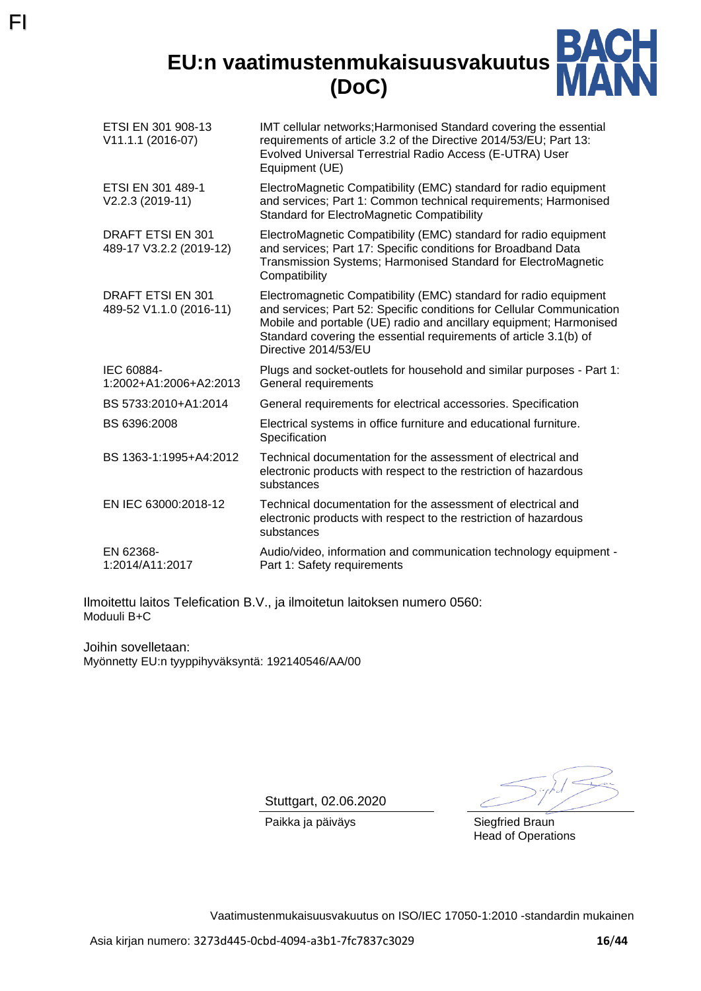### **EU:n vaatimustenmukaisuusvakuutus (DoC)**



| IMT cellular networks; Harmonised Standard covering the essential<br>requirements of article 3.2 of the Directive 2014/53/EU; Part 13:<br>Evolved Universal Terrestrial Radio Access (E-UTRA) User<br>Equipment (UE)                                                                                         |
|--------------------------------------------------------------------------------------------------------------------------------------------------------------------------------------------------------------------------------------------------------------------------------------------------------------|
| ElectroMagnetic Compatibility (EMC) standard for radio equipment<br>and services; Part 1: Common technical requirements; Harmonised<br><b>Standard for ElectroMagnetic Compatibility</b>                                                                                                                     |
| ElectroMagnetic Compatibility (EMC) standard for radio equipment<br>and services; Part 17: Specific conditions for Broadband Data<br>Transmission Systems; Harmonised Standard for ElectroMagnetic<br>Compatibility                                                                                          |
| Electromagnetic Compatibility (EMC) standard for radio equipment<br>and services; Part 52: Specific conditions for Cellular Communication<br>Mobile and portable (UE) radio and ancillary equipment; Harmonised<br>Standard covering the essential requirements of article 3.1(b) of<br>Directive 2014/53/EU |
| Plugs and socket-outlets for household and similar purposes - Part 1:<br>General requirements                                                                                                                                                                                                                |
| General requirements for electrical accessories. Specification                                                                                                                                                                                                                                               |
| Electrical systems in office furniture and educational furniture.<br>Specification                                                                                                                                                                                                                           |
| Technical documentation for the assessment of electrical and<br>electronic products with respect to the restriction of hazardous<br>substances                                                                                                                                                               |
| Technical documentation for the assessment of electrical and<br>electronic products with respect to the restriction of hazardous<br>substances                                                                                                                                                               |
| Audio/video, information and communication technology equipment -<br>Part 1: Safety requirements                                                                                                                                                                                                             |
|                                                                                                                                                                                                                                                                                                              |

Ilmoitettu laitos Telefication B.V., ja ilmoitetun laitoksen numero 0560: Moduuli B+C

Joihin sovelletaan: Myönnetty EU:n tyyppihyväksyntä: 192140546/AA/00

FI

Stuttgart, 02.06.2020

Paikka ja päiväys Siegfried Braun Head of Operations

Vaatimustenmukaisuusvakuutus on ISO/IEC 17050-1:2010 -standardin mukainen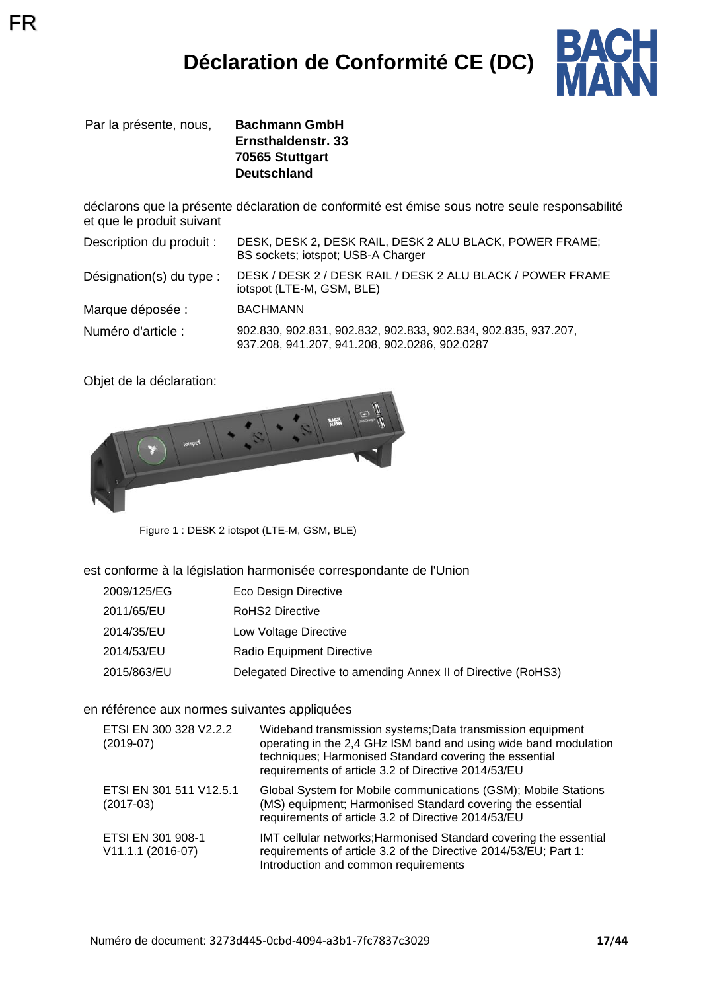

Par la présente, nous, **Bachmann GmbH**

FR

**Ernsthaldenstr. 33 70565 Stuttgart Deutschland**

déclarons que la présente déclaration de conformité est émise sous notre seule responsabilité et que le produit suivant

| Description du produit : | DESK, DESK 2, DESK RAIL, DESK 2 ALU BLACK, POWER FRAME;<br>BS sockets; iotspot; USB-A Charger                   |
|--------------------------|-----------------------------------------------------------------------------------------------------------------|
| Désignation(s) du type : | DESK / DESK 2 / DESK RAIL / DESK 2 ALU BLACK / POWER FRAME<br>iotspot (LTE-M, GSM, BLE)                         |
| Marque déposée :         | <b>BACHMANN</b>                                                                                                 |
| Numéro d'article :       | 902.830, 902.831, 902.832, 902.833, 902.834, 902.835, 937.207,<br>937.208, 941.207, 941.208, 902.0286, 902.0287 |

Objet de la déclaration:



Figure 1 : DESK 2 iotspot (LTE-M, GSM, BLE)

#### est conforme à la législation harmonisée correspondante de l'Union

- 2011/65/EU RoHS2 Directive
- 2014/35/EU Low Voltage Directive
- 2014/53/EU Radio Equipment Directive
- 2015/863/EU Delegated Directive to amending Annex II of Directive (RoHS3)

#### en référence aux normes suivantes appliquées

| ETSI EN 300 328 V2.2.2<br>$(2019-07)$  | Wideband transmission systems; Data transmission equipment<br>operating in the 2,4 GHz ISM band and using wide band modulation<br>techniques; Harmonised Standard covering the essential<br>requirements of article 3.2 of Directive 2014/53/EU |
|----------------------------------------|-------------------------------------------------------------------------------------------------------------------------------------------------------------------------------------------------------------------------------------------------|
| ETSI EN 301 511 V12.5.1<br>$(2017-03)$ | Global System for Mobile communications (GSM); Mobile Stations<br>(MS) equipment; Harmonised Standard covering the essential<br>requirements of article 3.2 of Directive 2014/53/EU                                                             |
| ETSI EN 301 908-1<br>V11.1.1 (2016-07) | IMT cellular networks; Harmonised Standard covering the essential<br>requirements of article 3.2 of the Directive 2014/53/EU; Part 1:<br>Introduction and common requirements                                                                   |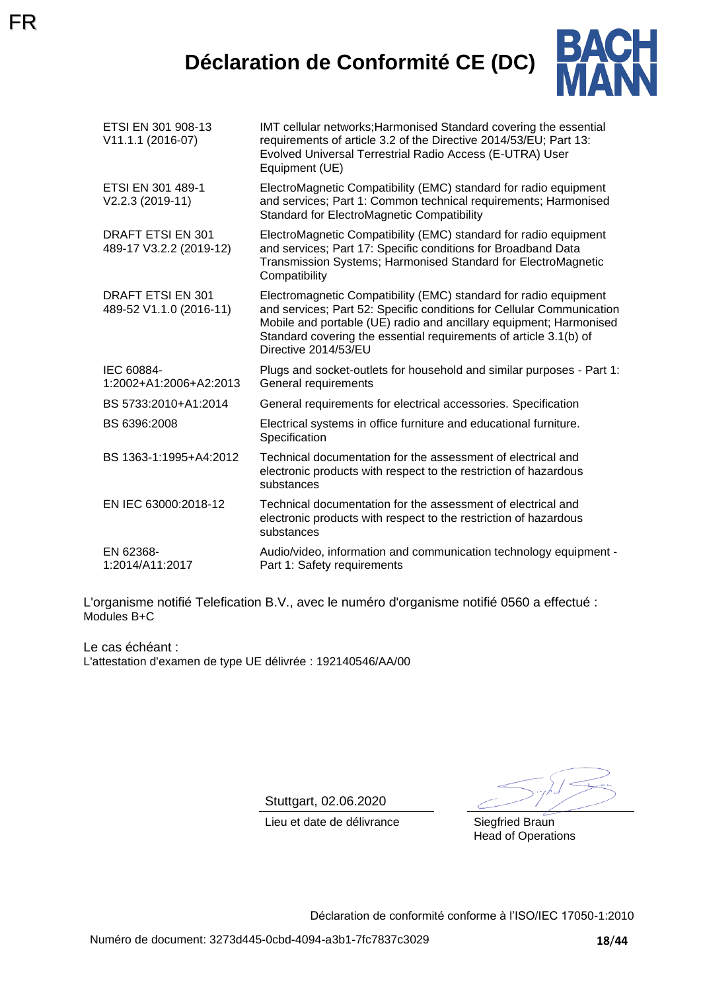# **Déclaration de Conformité CE (DC)**



| ETSI EN 301 908-13<br>V11.1.1 (2016-07)             | IMT cellular networks; Harmonised Standard covering the essential<br>requirements of article 3.2 of the Directive 2014/53/EU; Part 13:<br>Evolved Universal Terrestrial Radio Access (E-UTRA) User<br>Equipment (UE)                                                                                         |
|-----------------------------------------------------|--------------------------------------------------------------------------------------------------------------------------------------------------------------------------------------------------------------------------------------------------------------------------------------------------------------|
| ETSI EN 301 489-1<br>V2.2.3 (2019-11)               | ElectroMagnetic Compatibility (EMC) standard for radio equipment<br>and services; Part 1: Common technical requirements; Harmonised<br><b>Standard for ElectroMagnetic Compatibility</b>                                                                                                                     |
| DRAFT ETSI EN 301<br>489-17 V3.2.2 (2019-12)        | ElectroMagnetic Compatibility (EMC) standard for radio equipment<br>and services; Part 17: Specific conditions for Broadband Data<br>Transmission Systems; Harmonised Standard for ElectroMagnetic<br>Compatibility                                                                                          |
| <b>DRAFT ETSI EN 301</b><br>489-52 V1.1.0 (2016-11) | Electromagnetic Compatibility (EMC) standard for radio equipment<br>and services; Part 52: Specific conditions for Cellular Communication<br>Mobile and portable (UE) radio and ancillary equipment; Harmonised<br>Standard covering the essential requirements of article 3.1(b) of<br>Directive 2014/53/EU |
| IEC 60884-<br>1:2002+A1:2006+A2:2013                | Plugs and socket-outlets for household and similar purposes - Part 1:<br>General requirements                                                                                                                                                                                                                |
| BS 5733:2010+A1:2014                                | General requirements for electrical accessories. Specification                                                                                                                                                                                                                                               |
| BS 6396:2008                                        | Electrical systems in office furniture and educational furniture.<br>Specification                                                                                                                                                                                                                           |
| BS 1363-1:1995+A4:2012                              | Technical documentation for the assessment of electrical and<br>electronic products with respect to the restriction of hazardous<br>substances                                                                                                                                                               |
| EN IEC 63000:2018-12                                | Technical documentation for the assessment of electrical and<br>electronic products with respect to the restriction of hazardous<br>substances                                                                                                                                                               |
| EN 62368-<br>1:2014/A11:2017                        | Audio/video, information and communication technology equipment -<br>Part 1: Safety requirements                                                                                                                                                                                                             |

L'organisme notifié Telefication B.V., avec le numéro d'organisme notifié 0560 a effectué : Modules B+C

Le cas échéant : L'attestation d'examen de type UE délivrée : 192140546/AA/00

Stuttgart, 02.06.2020

Lieu et date de délivrance Siegfried Braun

Head of Operations

Déclaration de conformité conforme à l'ISO/IEC 17050-1:2010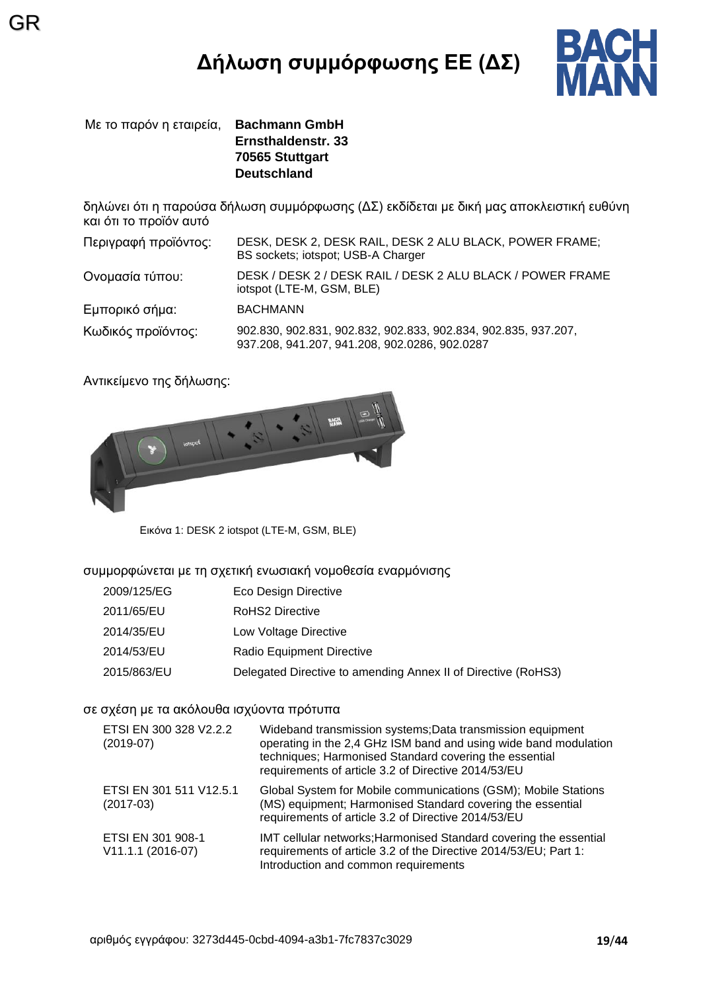# **Δήλωση συμμόρφωσης ΕΕ (ΔΣ)**



Με το παρόν η εταιρεία, **Bachmann GmbH Ernsthaldenstr. 33 70565 Stuttgart Deutschland**

GR

δηλώνει ότι η παρούσα δήλωση συμμόρφωσης (ΔΣ) εκδίδεται με δική μας αποκλειστική ευθύνη και ότι το προϊόν αυτό

| Περιγραφή προϊόντος: | DESK, DESK 2, DESK RAIL, DESK 2 ALU BLACK, POWER FRAME;<br>BS sockets; iotspot; USB-A Charger |
|----------------------|-----------------------------------------------------------------------------------------------|
| Ονομασία τύπου:      | DESK / DESK 2 / DESK RAIL / DESK 2 ALU BLACK / POWER FRAME<br>iotspot (LTE-M, GSM, BLE)       |
| Εμπορικό σήμα:       | <b>BACHMANN</b>                                                                               |
| Κωδικός προϊόντος:   | 902.830, 902.831, 902.832, 902.833, 902.834, 902.835, 937.207,                                |

937.208, 941.207, 941.208, 902.0286, 902.0287

Αντικείμενο της δήλωσης:



Εικόνα 1: DESK 2 iotspot (LTE-M, GSM, BLE)

#### συμμορφώνεται με τη σχετική ενωσιακή νομοθεσία εναρμόνισης

| 2009/125/EG | Eco Design Directive |
|-------------|----------------------|
|-------------|----------------------|

- 2011/65/EU RoHS2 Directive
- 2014/35/EU Low Voltage Directive
- 2014/53/EU Radio Equipment Directive
- 2015/863/EU Delegated Directive to amending Annex II of Directive (RoHS3)

#### σε σχέση με τα ακόλουθα ισχύοντα πρότυπα

| ETSI EN 300 328 V2.2.2<br>$(2019-07)$  | Wideband transmission systems; Data transmission equipment<br>operating in the 2,4 GHz ISM band and using wide band modulation<br>techniques; Harmonised Standard covering the essential<br>requirements of article 3.2 of Directive 2014/53/EU |
|----------------------------------------|-------------------------------------------------------------------------------------------------------------------------------------------------------------------------------------------------------------------------------------------------|
| ETSI EN 301 511 V12.5.1<br>$(2017-03)$ | Global System for Mobile communications (GSM); Mobile Stations<br>(MS) equipment; Harmonised Standard covering the essential<br>requirements of article 3.2 of Directive 2014/53/EU                                                             |
| ETSI EN 301 908-1<br>V11.1.1 (2016-07) | IMT cellular networks; Harmonised Standard covering the essential<br>requirements of article 3.2 of the Directive 2014/53/EU; Part 1:<br>Introduction and common requirements                                                                   |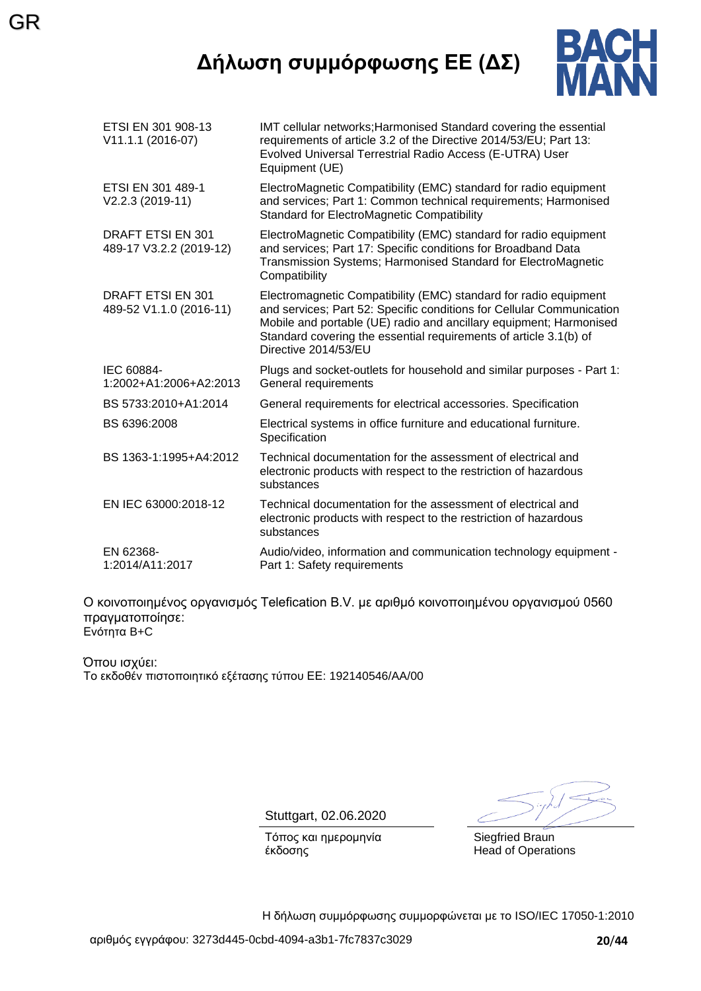# **Δήλωση συμμόρφωσης ΕΕ (ΔΣ)**

GR



| ETSI EN 301 908-13<br>V11.1.1 (2016-07)      | IMT cellular networks; Harmonised Standard covering the essential<br>requirements of article 3.2 of the Directive 2014/53/EU; Part 13:<br>Evolved Universal Terrestrial Radio Access (E-UTRA) User<br>Equipment (UE)                                                                                         |
|----------------------------------------------|--------------------------------------------------------------------------------------------------------------------------------------------------------------------------------------------------------------------------------------------------------------------------------------------------------------|
| ETSI EN 301 489-1<br>V2.2.3 (2019-11)        | ElectroMagnetic Compatibility (EMC) standard for radio equipment<br>and services; Part 1: Common technical requirements; Harmonised<br><b>Standard for ElectroMagnetic Compatibility</b>                                                                                                                     |
| DRAFT ETSI EN 301<br>489-17 V3.2.2 (2019-12) | ElectroMagnetic Compatibility (EMC) standard for radio equipment<br>and services; Part 17: Specific conditions for Broadband Data<br>Transmission Systems; Harmonised Standard for ElectroMagnetic<br>Compatibility                                                                                          |
| DRAFT ETSI EN 301<br>489-52 V1.1.0 (2016-11) | Electromagnetic Compatibility (EMC) standard for radio equipment<br>and services; Part 52: Specific conditions for Cellular Communication<br>Mobile and portable (UE) radio and ancillary equipment; Harmonised<br>Standard covering the essential requirements of article 3.1(b) of<br>Directive 2014/53/EU |
| IEC 60884-<br>1:2002+A1:2006+A2:2013         | Plugs and socket-outlets for household and similar purposes - Part 1:<br>General requirements                                                                                                                                                                                                                |
| BS 5733:2010+A1:2014                         | General requirements for electrical accessories. Specification                                                                                                                                                                                                                                               |
| BS 6396:2008                                 | Electrical systems in office furniture and educational furniture.<br>Specification                                                                                                                                                                                                                           |
| BS 1363-1:1995+A4:2012                       | Technical documentation for the assessment of electrical and<br>electronic products with respect to the restriction of hazardous<br>substances                                                                                                                                                               |
| EN IEC 63000:2018-12                         | Technical documentation for the assessment of electrical and<br>electronic products with respect to the restriction of hazardous<br>substances                                                                                                                                                               |
| EN 62368-<br>1:2014/A11:2017                 | Audio/video, information and communication technology equipment -<br>Part 1: Safety requirements                                                                                                                                                                                                             |

Ο κοινοποιημένος οργανισμός Telefication B.V. με αριθμό κοινοποιημένου οργανισμού 0560 πραγματοποίησε: Ενότητα B+C

Όπου ισχύει: Το εκδοθέν πιστοποιητικό εξέτασης τύπου ΕΕ: 192140546/AA/00

Stuttgart, 02.06.2020

Τόπος και ημερομηνία έκδοσης

Siegfried Braun Head of Operations

Η δήλωση συμμόρφωσης συμμορφώνεται με το ISO/IEC 17050-1:2010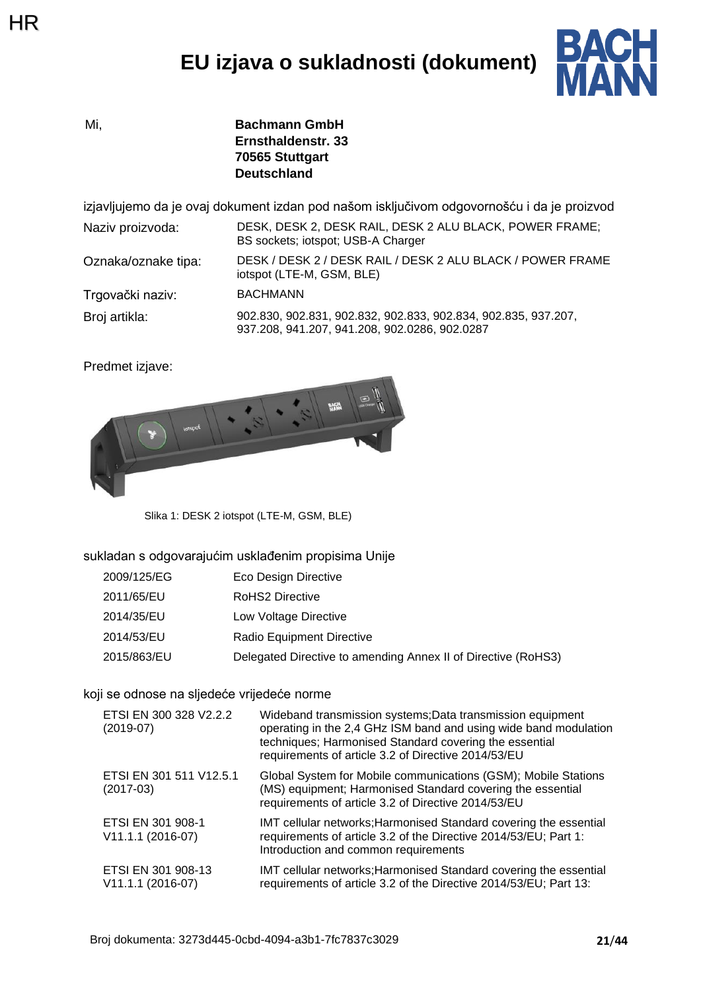# **EU izjava o sukladnosti (dokument)**



Mi, **Bachmann GmbH Ernsthaldenstr. 33 70565 Stuttgart Deutschland**

izjavljujemo da je ovaj dokument izdan pod našom isključivom odgovornošću i da je proizvod

Naziv proizvoda: DESK, DESK 2, DESK RAIL, DESK 2 ALU BLACK, POWER FRAME; BS sockets; iotspot; USB-A Charger Oznaka/oznake tipa: DESK / DESK 2 / DESK RAIL / DESK 2 ALU BLACK / POWER FRAME

iotspot (LTE-M, GSM, BLE)

Trgovački naziv: BACHMANN Broj artikla: 902.830, 902.831, 902.832, 902.833, 902.834, 902.835, 937.207,

937.208, 941.207, 941.208, 902.0286, 902.0287

Predmet izjave:



Slika 1: DESK 2 iotspot (LTE-M, GSM, BLE)

sukladan s odgovarajućim usklađenim propisima Unije

| 2009/125/EG | Eco Design Directive                                          |
|-------------|---------------------------------------------------------------|
| 2011/65/EU  | <b>RoHS2 Directive</b>                                        |
| 2014/35/EU  | Low Voltage Directive                                         |
| 2014/53/EU  | Radio Equipment Directive                                     |
| 2015/863/EU | Delegated Directive to amending Annex II of Directive (RoHS3) |

#### koji se odnose na sljedeće vrijedeće norme

| ETSI EN 300 328 V2.2.2<br>$(2019-07)$     | Wideband transmission systems; Data transmission equipment<br>operating in the 2,4 GHz ISM band and using wide band modulation<br>techniques; Harmonised Standard covering the essential<br>requirements of article 3.2 of Directive 2014/53/EU |
|-------------------------------------------|-------------------------------------------------------------------------------------------------------------------------------------------------------------------------------------------------------------------------------------------------|
| ETSI EN 301 511 V12.5.1<br>$(2017-03)$    | Global System for Mobile communications (GSM); Mobile Stations<br>(MS) equipment; Harmonised Standard covering the essential<br>requirements of article 3.2 of Directive 2014/53/EU                                                             |
| ETSI EN 301 908-1<br>V11.1.1 (2016-07)    | IMT cellular networks; Harmonised Standard covering the essential<br>requirements of article 3.2 of the Directive 2014/53/EU; Part 1:<br>Introduction and common requirements                                                                   |
| ETSI EN 301 908-13<br>$V11.1.1 (2016-07)$ | IMT cellular networks; Harmonised Standard covering the essential<br>requirements of article 3.2 of the Directive 2014/53/EU; Part 13:                                                                                                          |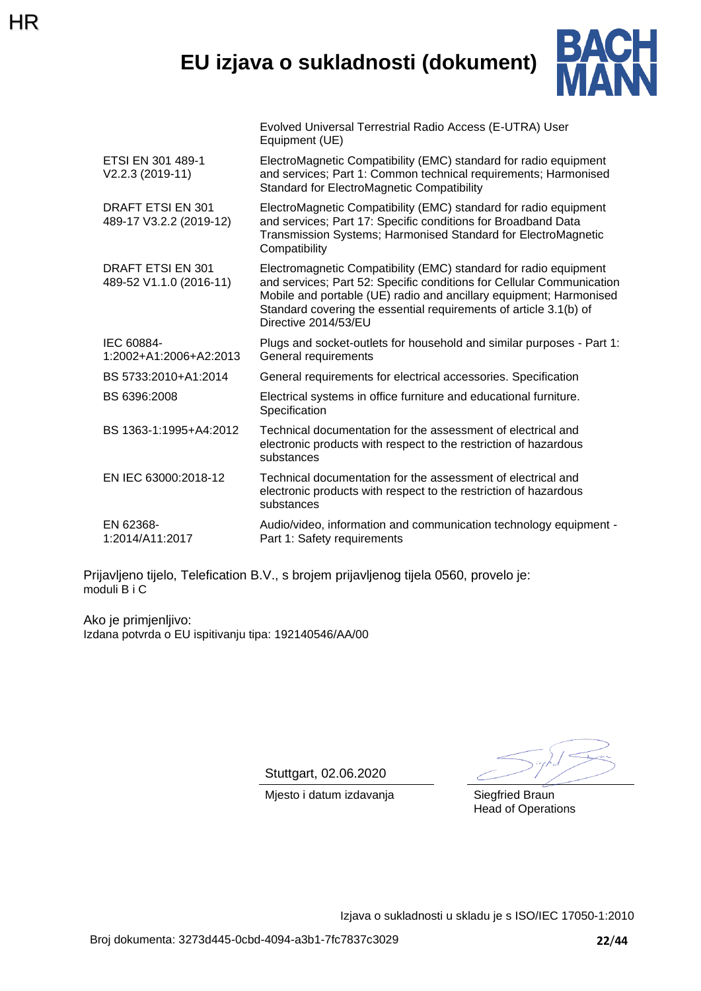### **EU izjava o sukladnosti (dokument)**

Evolved Universal Terrestrial Radio Access (E-UTRA) User



|                                                     | Equipment (UE)                                                                                                                                                                                                                                                                                               |
|-----------------------------------------------------|--------------------------------------------------------------------------------------------------------------------------------------------------------------------------------------------------------------------------------------------------------------------------------------------------------------|
| ETSI EN 301 489-1<br>$V2.2.3 (2019-11)$             | ElectroMagnetic Compatibility (EMC) standard for radio equipment<br>and services; Part 1: Common technical requirements; Harmonised<br><b>Standard for ElectroMagnetic Compatibility</b>                                                                                                                     |
| <b>DRAFT ETSI EN 301</b><br>489-17 V3.2.2 (2019-12) | ElectroMagnetic Compatibility (EMC) standard for radio equipment<br>and services; Part 17: Specific conditions for Broadband Data<br>Transmission Systems; Harmonised Standard for ElectroMagnetic<br>Compatibility                                                                                          |
| DRAFT ETSI EN 301<br>489-52 V1.1.0 (2016-11)        | Electromagnetic Compatibility (EMC) standard for radio equipment<br>and services; Part 52: Specific conditions for Cellular Communication<br>Mobile and portable (UE) radio and ancillary equipment; Harmonised<br>Standard covering the essential requirements of article 3.1(b) of<br>Directive 2014/53/EU |
| IEC 60884-<br>1:2002+A1:2006+A2:2013                | Plugs and socket-outlets for household and similar purposes - Part 1:<br>General requirements                                                                                                                                                                                                                |
| BS 5733:2010+A1:2014                                | General requirements for electrical accessories. Specification                                                                                                                                                                                                                                               |
| BS 6396:2008                                        | Electrical systems in office furniture and educational furniture.<br>Specification                                                                                                                                                                                                                           |
| BS 1363-1:1995+A4:2012                              | Technical documentation for the assessment of electrical and<br>electronic products with respect to the restriction of hazardous<br>substances                                                                                                                                                               |
| EN IEC 63000:2018-12                                | Technical documentation for the assessment of electrical and<br>electronic products with respect to the restriction of hazardous<br>substances                                                                                                                                                               |
| EN 62368-<br>1:2014/A11:2017                        | Audio/video, information and communication technology equipment -<br>Part 1: Safety requirements                                                                                                                                                                                                             |

Prijavljeno tijelo, Telefication B.V., s brojem prijavljenog tijela 0560, provelo je: moduli B i C

Ako je primjenljivo: Izdana potvrda o EU ispitivanju tipa: 192140546/AA/00

HR

Stuttgart, 02.06.2020

Mjesto i datum izdavanja **Siegfried Braun** 

Head of Operations

Izjava o sukladnosti u skladu je s ISO/IEC 17050-1:2010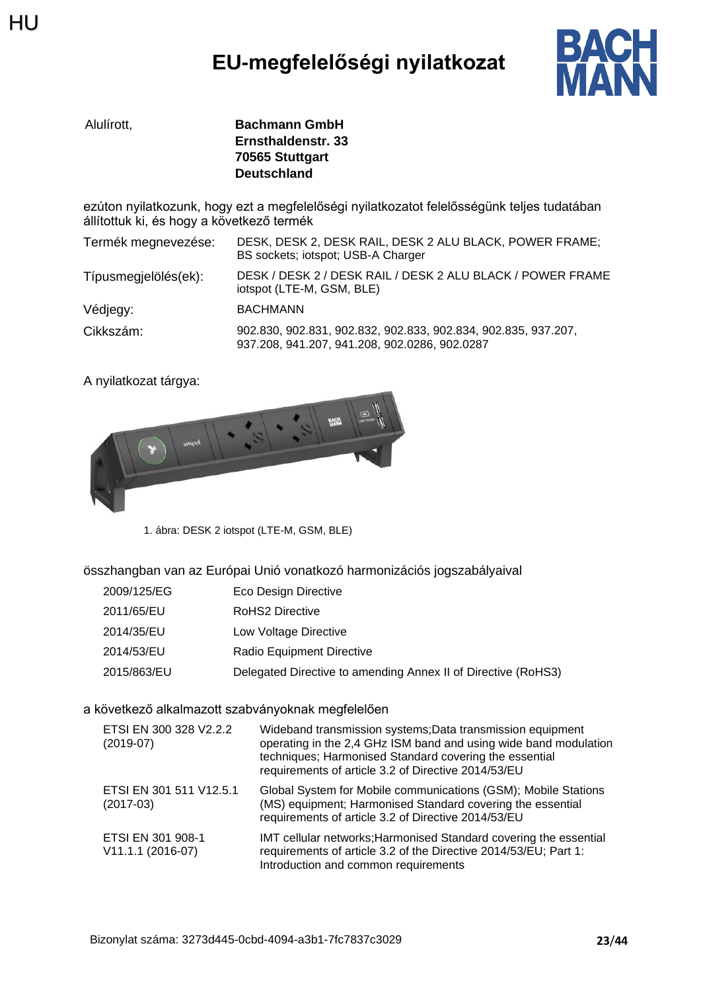# **EU-megfelelőségi nyilatkozat**



| Alulírott. | <b>Bachmann GmbH</b> |
|------------|----------------------|
|            | Ernsthaldenstr. 33   |
|            | 70565 Stuttgart      |
|            | <b>Deutschland</b>   |

ezúton nyilatkozunk, hogy ezt a megfelelőségi nyilatkozatot felelősségünk teljes tudatában állítottuk ki, és hogy a következő termék

| Termék megnevezése:  | DESK, DESK 2, DESK RAIL, DESK 2 ALU BLACK, POWER FRAME;<br>BS sockets; iotspot; USB-A Charger                   |
|----------------------|-----------------------------------------------------------------------------------------------------------------|
| Típusmegjelölés(ek): | DESK / DESK 2 / DESK RAIL / DESK 2 ALU BLACK / POWER FRAME<br>iotspot (LTE-M, GSM, BLE)                         |
| Védjegy:             | <b>BACHMANN</b>                                                                                                 |
| Cikkszám:            | 902.830, 902.831, 902.832, 902.833, 902.834, 902.835, 937.207,<br>937.208, 941.207, 941.208, 902.0286, 902.0287 |

A nyilatkozat tárgya:



1. ábra: DESK 2 iotspot (LTE-M, GSM, BLE)

#### összhangban van az Európai Unió vonatkozó harmonizációs jogszabályaival

- 2009/125/EG Eco Design Directive
- 2011/65/EU RoHS2 Directive
- 2014/35/EU Low Voltage Directive
- 2014/53/EU Radio Equipment Directive
- 2015/863/EU Delegated Directive to amending Annex II of Directive (RoHS3)

a következő alkalmazott szabványoknak megfelelően

| ETSI EN 300 328 V2.2.2<br>$(2019-07)$  | Wideband transmission systems; Data transmission equipment<br>operating in the 2,4 GHz ISM band and using wide band modulation<br>techniques; Harmonised Standard covering the essential<br>requirements of article 3.2 of Directive 2014/53/EU |
|----------------------------------------|-------------------------------------------------------------------------------------------------------------------------------------------------------------------------------------------------------------------------------------------------|
| ETSI EN 301 511 V12.5.1<br>$(2017-03)$ | Global System for Mobile communications (GSM); Mobile Stations<br>(MS) equipment; Harmonised Standard covering the essential<br>requirements of article 3.2 of Directive 2014/53/EU                                                             |
| ETSI EN 301 908-1<br>V11.1.1 (2016-07) | IMT cellular networks; Harmonised Standard covering the essential<br>requirements of article 3.2 of the Directive 2014/53/EU; Part 1:<br>Introduction and common requirements                                                                   |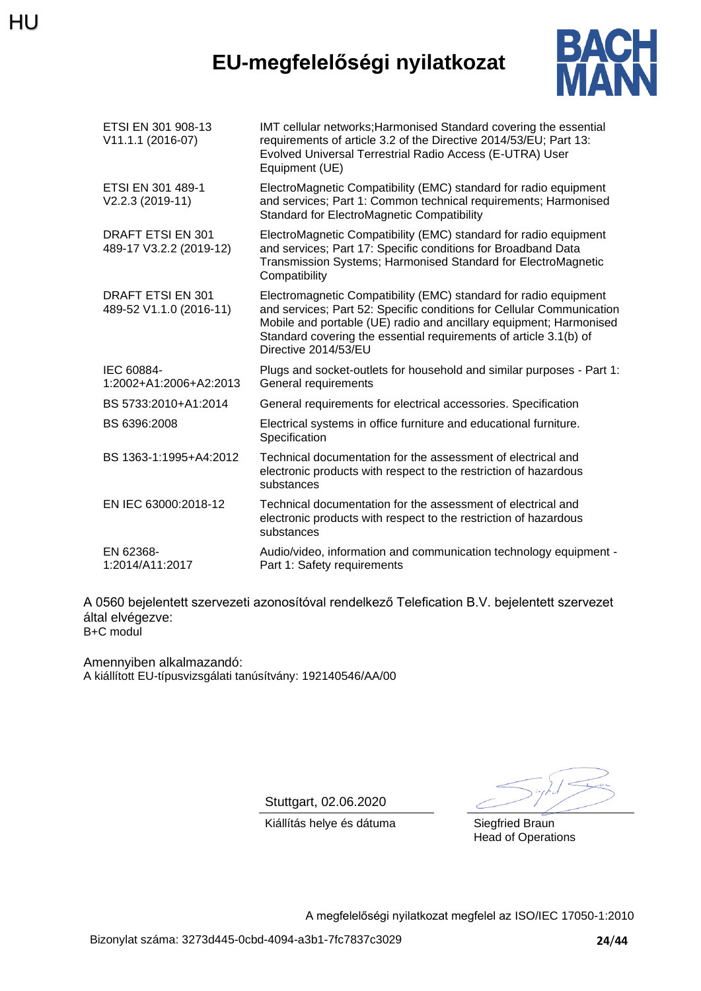# HU

# **EU-megfelelőségi nyilatkozat**



| ETSI EN 301 908-13<br>V11.1.1 (2016-07)      | IMT cellular networks; Harmonised Standard covering the essential<br>requirements of article 3.2 of the Directive 2014/53/EU; Part 13:<br>Evolved Universal Terrestrial Radio Access (E-UTRA) User<br>Equipment (UE)                                                                                         |
|----------------------------------------------|--------------------------------------------------------------------------------------------------------------------------------------------------------------------------------------------------------------------------------------------------------------------------------------------------------------|
| ETSI EN 301 489-1<br>V2.2.3 (2019-11)        | ElectroMagnetic Compatibility (EMC) standard for radio equipment<br>and services; Part 1: Common technical requirements; Harmonised<br><b>Standard for ElectroMagnetic Compatibility</b>                                                                                                                     |
| DRAFT ETSI EN 301<br>489-17 V3.2.2 (2019-12) | ElectroMagnetic Compatibility (EMC) standard for radio equipment<br>and services; Part 17: Specific conditions for Broadband Data<br>Transmission Systems; Harmonised Standard for ElectroMagnetic<br>Compatibility                                                                                          |
| DRAFT ETSI EN 301<br>489-52 V1.1.0 (2016-11) | Electromagnetic Compatibility (EMC) standard for radio equipment<br>and services; Part 52: Specific conditions for Cellular Communication<br>Mobile and portable (UE) radio and ancillary equipment; Harmonised<br>Standard covering the essential requirements of article 3.1(b) of<br>Directive 2014/53/EU |
| IEC 60884-<br>1:2002+A1:2006+A2:2013         | Plugs and socket-outlets for household and similar purposes - Part 1:<br>General requirements                                                                                                                                                                                                                |
| BS 5733:2010+A1:2014                         | General requirements for electrical accessories. Specification                                                                                                                                                                                                                                               |
| BS 6396:2008                                 | Electrical systems in office furniture and educational furniture.<br>Specification                                                                                                                                                                                                                           |
| BS 1363-1:1995+A4:2012                       | Technical documentation for the assessment of electrical and<br>electronic products with respect to the restriction of hazardous<br>substances                                                                                                                                                               |
| EN IEC 63000:2018-12                         | Technical documentation for the assessment of electrical and<br>electronic products with respect to the restriction of hazardous<br>substances                                                                                                                                                               |
| EN 62368-<br>1:2014/A11:2017                 | Audio/video, information and communication technology equipment -<br>Part 1: Safety requirements                                                                                                                                                                                                             |

A 0560 bejelentett szervezeti azonosítóval rendelkező Telefication B.V. bejelentett szervezet által elvégezve: B+C modul

Amennyiben alkalmazandó: A kiállított EU-típusvizsgálati tanúsítvány: 192140546/AA/00

Stuttgart, 02.06.2020

Kiállítás helye és dátuma Siegfried Braun

Head of Operations

A megfelelőségi nyilatkozat megfelel az ISO/IEC 17050-1:2010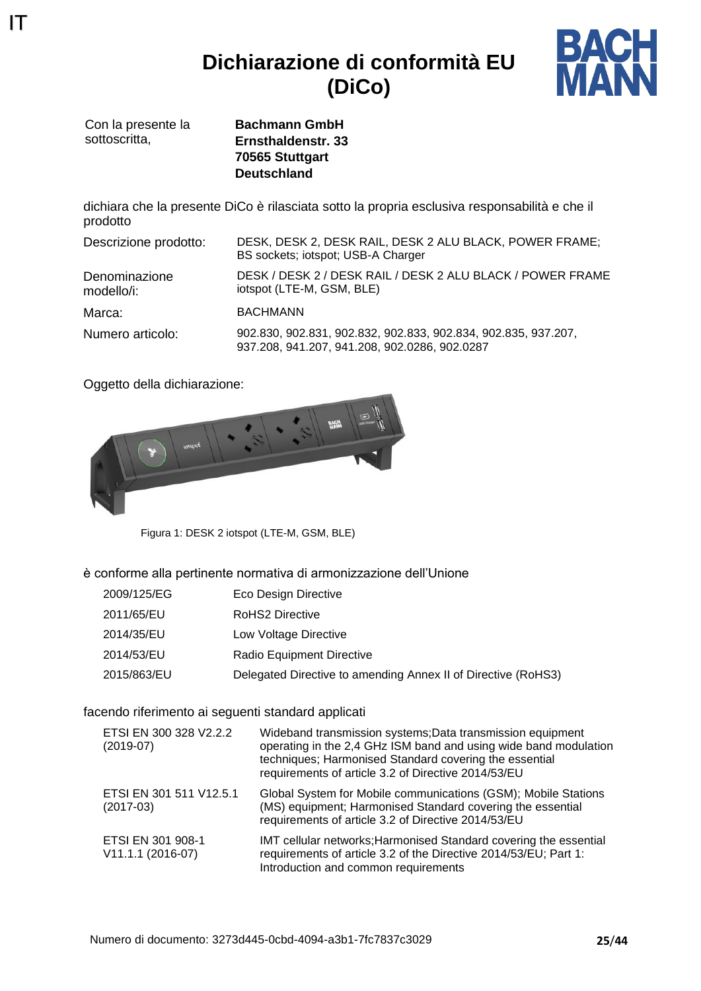### **Dichiarazione di conformità EU (DiCo)**



Con la presente la sottoscritta.

IT

**Bachmann GmbH Ernsthaldenstr. 33 70565 Stuttgart Deutschland**

dichiara che la presente DiCo è rilasciata sotto la propria esclusiva responsabilità e che il prodotto

| Descrizione prodotto:       | DESK, DESK 2, DESK RAIL, DESK 2 ALU BLACK, POWER FRAME;<br>BS sockets; iotspot; USB-A Charger                   |
|-----------------------------|-----------------------------------------------------------------------------------------------------------------|
| Denominazione<br>modello/i: | DESK / DESK 2 / DESK RAIL / DESK 2 ALU BLACK / POWER FRAME<br>iotspot (LTE-M, GSM, BLE)                         |
| Marca:                      | <b>BACHMANN</b>                                                                                                 |
| Numero articolo:            | 902.830, 902.831, 902.832, 902.833, 902.834, 902.835, 937.207,<br>937.208, 941.207, 941.208, 902.0286, 902.0287 |

Oggetto della dichiarazione:



Figura 1: DESK 2 iotspot (LTE-M, GSM, BLE)

#### è conforme alla pertinente normativa di armonizzazione dell'Unione

- 2009/125/EG Eco Design Directive
- 2011/65/EU RoHS2 Directive
- 2014/35/EU Low Voltage Directive
- 2014/53/EU Radio Equipment Directive
- 2015/863/EU Delegated Directive to amending Annex II of Directive (RoHS3)

#### facendo riferimento ai seguenti standard applicati

| ETSI EN 300 328 V2.2.2<br>$(2019-07)$  | Wideband transmission systems; Data transmission equipment<br>operating in the 2,4 GHz ISM band and using wide band modulation<br>techniques; Harmonised Standard covering the essential<br>requirements of article 3.2 of Directive 2014/53/EU |
|----------------------------------------|-------------------------------------------------------------------------------------------------------------------------------------------------------------------------------------------------------------------------------------------------|
| ETSI EN 301 511 V12.5.1<br>$(2017-03)$ | Global System for Mobile communications (GSM); Mobile Stations<br>(MS) equipment; Harmonised Standard covering the essential<br>requirements of article 3.2 of Directive 2014/53/EU                                                             |
| ETSI EN 301 908-1<br>V11.1.1 (2016-07) | IMT cellular networks; Harmonised Standard covering the essential<br>requirements of article 3.2 of the Directive 2014/53/EU; Part 1:<br>Introduction and common requirements                                                                   |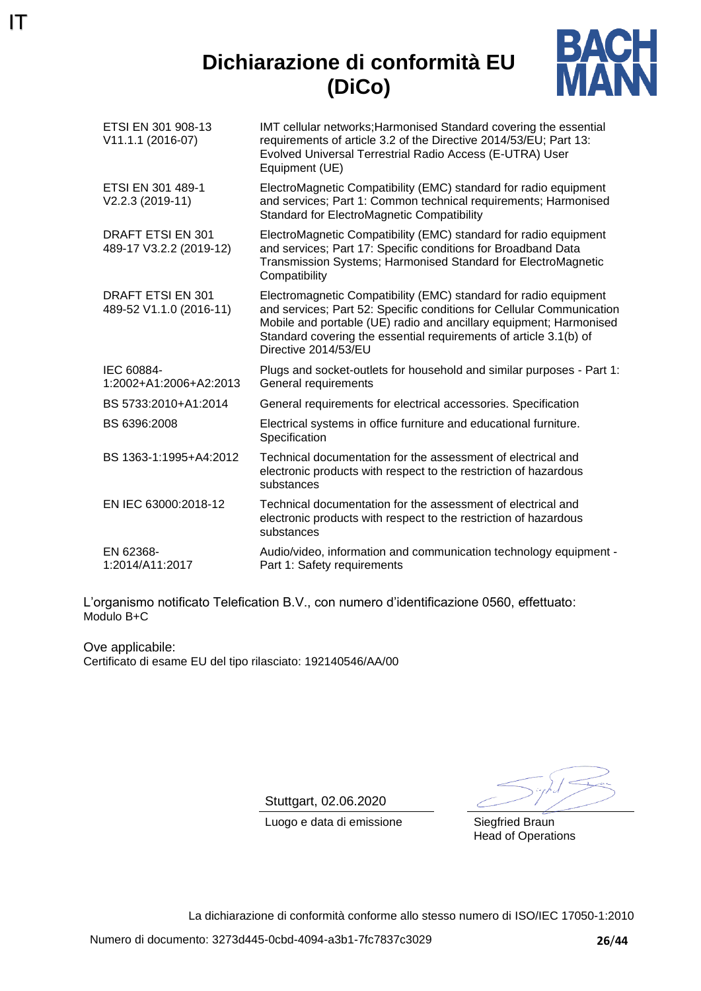## **Dichiarazione di conformità EU (DiCo)**

IT



| ETSI EN 301 908-13<br>V11.1.1 (2016-07)             | IMT cellular networks; Harmonised Standard covering the essential<br>requirements of article 3.2 of the Directive 2014/53/EU; Part 13:<br>Evolved Universal Terrestrial Radio Access (E-UTRA) User<br>Equipment (UE)                                                                                         |
|-----------------------------------------------------|--------------------------------------------------------------------------------------------------------------------------------------------------------------------------------------------------------------------------------------------------------------------------------------------------------------|
| ETSI EN 301 489-1<br>V2.2.3 (2019-11)               | ElectroMagnetic Compatibility (EMC) standard for radio equipment<br>and services; Part 1: Common technical requirements; Harmonised<br><b>Standard for ElectroMagnetic Compatibility</b>                                                                                                                     |
| DRAFT ETSI EN 301<br>489-17 V3.2.2 (2019-12)        | ElectroMagnetic Compatibility (EMC) standard for radio equipment<br>and services; Part 17: Specific conditions for Broadband Data<br>Transmission Systems; Harmonised Standard for ElectroMagnetic<br>Compatibility                                                                                          |
| <b>DRAFT ETSI EN 301</b><br>489-52 V1.1.0 (2016-11) | Electromagnetic Compatibility (EMC) standard for radio equipment<br>and services; Part 52: Specific conditions for Cellular Communication<br>Mobile and portable (UE) radio and ancillary equipment; Harmonised<br>Standard covering the essential requirements of article 3.1(b) of<br>Directive 2014/53/EU |
| IEC 60884-<br>1:2002+A1:2006+A2:2013                | Plugs and socket-outlets for household and similar purposes - Part 1:<br>General requirements                                                                                                                                                                                                                |
| BS 5733:2010+A1:2014                                | General requirements for electrical accessories. Specification                                                                                                                                                                                                                                               |
| BS 6396:2008                                        | Electrical systems in office furniture and educational furniture.<br>Specification                                                                                                                                                                                                                           |
| BS 1363-1:1995+A4:2012                              | Technical documentation for the assessment of electrical and<br>electronic products with respect to the restriction of hazardous<br>substances                                                                                                                                                               |
| EN IEC 63000:2018-12                                | Technical documentation for the assessment of electrical and<br>electronic products with respect to the restriction of hazardous<br>substances                                                                                                                                                               |
| EN 62368-<br>1:2014/A11:2017                        | Audio/video, information and communication technology equipment -<br>Part 1: Safety requirements                                                                                                                                                                                                             |

L'organismo notificato Telefication B.V., con numero d'identificazione 0560, effettuato: Modulo B+C

Ove applicabile: Certificato di esame EU del tipo rilasciato: 192140546/AA/00

Stuttgart, 02.06.2020

Luogo e data di emissione Siegfried Braun

Head of Operations

La dichiarazione di conformità conforme allo stesso numero di ISO/IEC 17050-1:2010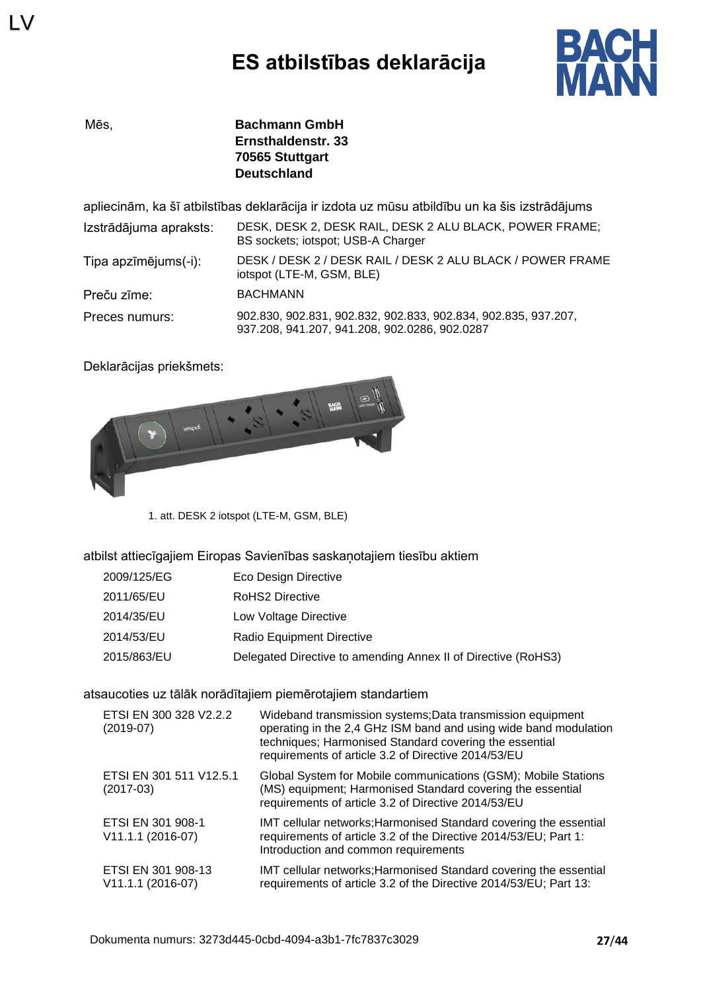

LV

Mēs, **Bachmann GmbH Ernsthaldenstr. 33 70565 Stuttgart Deutschland**

apliecinām, ka šī atbilstības deklarācija ir izdota uz mūsu atbildību un ka šis izstrādājums

| Izstrādājuma apraksts: | DESK, DESK 2, DESK RAIL, DESK 2 ALU BLACK, POWER FRAME;<br>BS sockets; iotspot; USB-A Charger                   |
|------------------------|-----------------------------------------------------------------------------------------------------------------|
| Tipa apzīmējums(-i):   | DESK / DESK 2 / DESK RAIL / DESK 2 ALU BLACK / POWER FRAME<br>iotspot (LTE-M, GSM, BLE)                         |
| Preču zīme:            | <b>BACHMANN</b>                                                                                                 |
| Preces numurs:         | 902.830, 902.831, 902.832, 902.833, 902.834, 902.835, 937.207,<br>937.208, 941.207, 941.208, 902.0286, 902.0287 |

Deklarācijas priekšmets:



1. att. DESK 2 iotspot (LTE-M, GSM, BLE)

atbilst attiecīgajiem Eiropas Savienības saskaņotajiem tiesību aktiem

| 2009/125/EG | Eco Design Directive                                          |
|-------------|---------------------------------------------------------------|
| 2011/65/EU  | <b>RoHS2 Directive</b>                                        |
| 2014/35/EU  | Low Voltage Directive                                         |
| 2014/53/EU  | Radio Equipment Directive                                     |
| 2015/863/EU | Delegated Directive to amending Annex II of Directive (RoHS3) |

#### atsaucoties uz tālāk norādītajiem piemērotajiem standartiem

| ETSI EN 300 328 V2.2.2<br>$(2019-07)$     | Wideband transmission systems; Data transmission equipment<br>operating in the 2,4 GHz ISM band and using wide band modulation<br>techniques; Harmonised Standard covering the essential<br>requirements of article 3.2 of Directive 2014/53/EU |
|-------------------------------------------|-------------------------------------------------------------------------------------------------------------------------------------------------------------------------------------------------------------------------------------------------|
| ETSI EN 301 511 V12.5.1<br>$(2017-03)$    | Global System for Mobile communications (GSM); Mobile Stations<br>(MS) equipment; Harmonised Standard covering the essential<br>requirements of article 3.2 of Directive 2014/53/EU                                                             |
| ETSI EN 301 908-1<br>V11.1.1 (2016-07)    | IMT cellular networks; Harmonised Standard covering the essential<br>requirements of article 3.2 of the Directive 2014/53/EU; Part 1:<br>Introduction and common requirements                                                                   |
| ETSI EN 301 908-13<br>$V11.1.1 (2016-07)$ | IMT cellular networks; Harmonised Standard covering the essential<br>requirements of article 3.2 of the Directive 2014/53/EU; Part 13:                                                                                                          |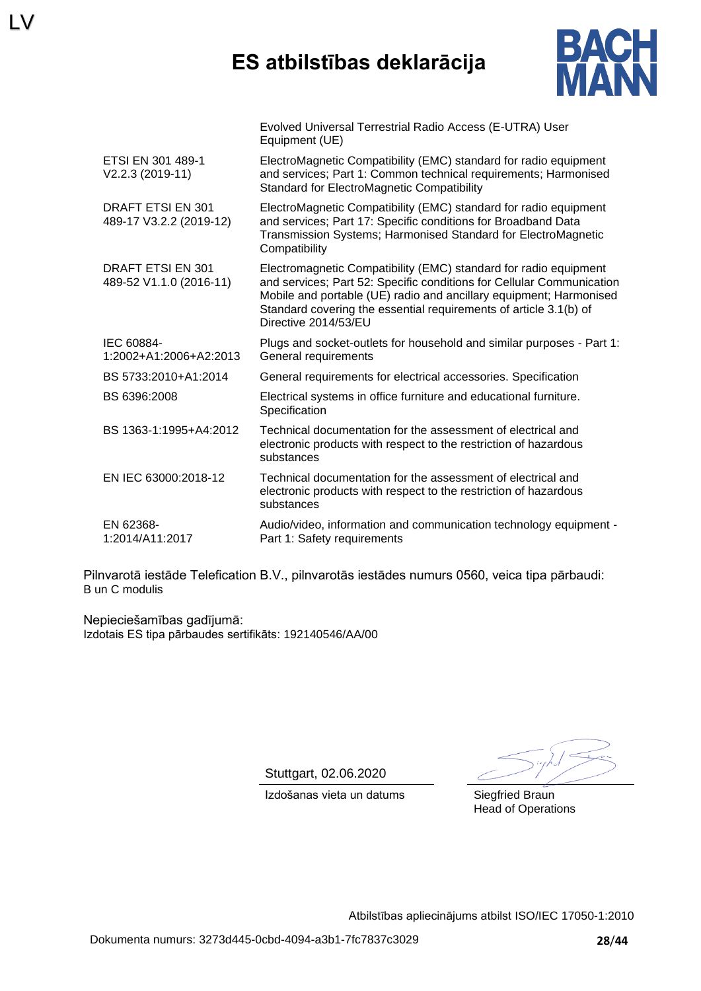### **ES atbilstības deklarācija**



|                                                     | Evolved Universal Terrestrial Radio Access (E-UTRA) User<br>Equipment (UE)                                                                                                                                                                                                                                   |
|-----------------------------------------------------|--------------------------------------------------------------------------------------------------------------------------------------------------------------------------------------------------------------------------------------------------------------------------------------------------------------|
| ETSI EN 301 489-1<br>V2.2.3 (2019-11)               | ElectroMagnetic Compatibility (EMC) standard for radio equipment<br>and services; Part 1: Common technical requirements; Harmonised<br>Standard for ElectroMagnetic Compatibility                                                                                                                            |
| <b>DRAFT ETSI EN 301</b><br>489-17 V3.2.2 (2019-12) | ElectroMagnetic Compatibility (EMC) standard for radio equipment<br>and services; Part 17: Specific conditions for Broadband Data<br>Transmission Systems; Harmonised Standard for ElectroMagnetic<br>Compatibility                                                                                          |
| DRAFT ETSI EN 301<br>489-52 V1.1.0 (2016-11)        | Electromagnetic Compatibility (EMC) standard for radio equipment<br>and services; Part 52: Specific conditions for Cellular Communication<br>Mobile and portable (UE) radio and ancillary equipment; Harmonised<br>Standard covering the essential requirements of article 3.1(b) of<br>Directive 2014/53/EU |
| IEC 60884-<br>1:2002+A1:2006+A2:2013                | Plugs and socket-outlets for household and similar purposes - Part 1:<br>General requirements                                                                                                                                                                                                                |
| BS 5733:2010+A1:2014                                | General requirements for electrical accessories. Specification                                                                                                                                                                                                                                               |
| BS 6396:2008                                        | Electrical systems in office furniture and educational furniture.<br>Specification                                                                                                                                                                                                                           |
| BS 1363-1:1995+A4:2012                              | Technical documentation for the assessment of electrical and<br>electronic products with respect to the restriction of hazardous<br>substances                                                                                                                                                               |
| EN IEC 63000:2018-12                                | Technical documentation for the assessment of electrical and<br>electronic products with respect to the restriction of hazardous<br>substances                                                                                                                                                               |
| EN 62368-<br>1:2014/A11:2017                        | Audio/video, information and communication technology equipment -<br>Part 1: Safety requirements                                                                                                                                                                                                             |

Pilnvarotā iestāde Telefication B.V., pilnvarotās iestādes numurs 0560, veica tipa pārbaudi: B un C modulis

Nepieciešamības gadījumā: Izdotais ES tipa pārbaudes sertifikāts: 192140546/AA/00

 $\overline{V}$ 

Stuttgart, 02.06.2020

Head of Operations

Izdošanas vieta un datums Siegfried Braun

Atbilstības apliecinājums atbilst ISO/IEC 17050-1:2010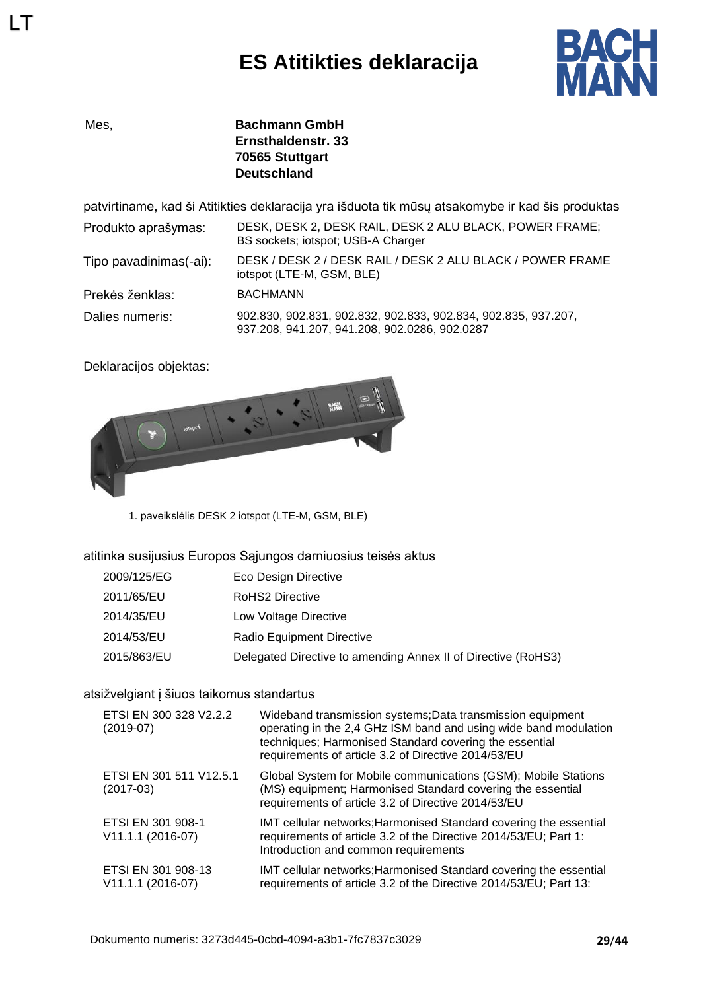# **ES Atitikties deklaracija**



LT

Mes, **Bachmann GmbH Ernsthaldenstr. 33 70565 Stuttgart Deutschland**

patvirtiname, kad ši Atitikties deklaracija yra išduota tik mūsų atsakomybe ir kad šis produktas

| Produkto aprašymas:    | DESK, DESK 2, DESK RAIL, DESK 2 ALU BLACK, POWER FRAME;<br>BS sockets; iotspot; USB-A Charger                   |
|------------------------|-----------------------------------------------------------------------------------------------------------------|
| Tipo pavadinimas(-ai): | DESK / DESK 2 / DESK RAIL / DESK 2 ALU BLACK / POWER FRAME<br>iotspot (LTE-M, GSM, BLE)                         |
| Prekės ženklas:        | <b>BACHMANN</b>                                                                                                 |
| Dalies numeris:        | 902.830, 902.831, 902.832, 902.833, 902.834, 902.835, 937.207,<br>937.208, 941.207, 941.208, 902.0286, 902.0287 |

Deklaracijos objektas:



1. paveikslėlis DESK 2 iotspot (LTE-M, GSM, BLE)

atitinka susijusius Europos Sąjungos darniuosius teisės aktus

| 2009/125/EG | Eco Design Directive                                          |
|-------------|---------------------------------------------------------------|
| 2011/65/EU  | RoHS2 Directive                                               |
| 2014/35/EU  | Low Voltage Directive                                         |
| 2014/53/EU  | Radio Equipment Directive                                     |
| 2015/863/EU | Delegated Directive to amending Annex II of Directive (RoHS3) |

#### atsižvelgiant į šiuos taikomus standartus

| ETSI EN 300 328 V2.2.2<br>$(2019-07)$     | Wideband transmission systems; Data transmission equipment<br>operating in the 2,4 GHz ISM band and using wide band modulation<br>techniques; Harmonised Standard covering the essential<br>requirements of article 3.2 of Directive 2014/53/EU |
|-------------------------------------------|-------------------------------------------------------------------------------------------------------------------------------------------------------------------------------------------------------------------------------------------------|
| ETSI EN 301 511 V12.5.1<br>$(2017-03)$    | Global System for Mobile communications (GSM); Mobile Stations<br>(MS) equipment; Harmonised Standard covering the essential<br>requirements of article 3.2 of Directive 2014/53/EU                                                             |
| ETSI EN 301 908-1<br>V11.1.1 (2016-07)    | IMT cellular networks; Harmonised Standard covering the essential<br>requirements of article 3.2 of the Directive 2014/53/EU; Part 1:<br>Introduction and common requirements                                                                   |
| ETSI EN 301 908-13<br>$V11.1.1 (2016-07)$ | IMT cellular networks; Harmonised Standard covering the essential<br>requirements of article 3.2 of the Directive 2014/53/EU; Part 13:                                                                                                          |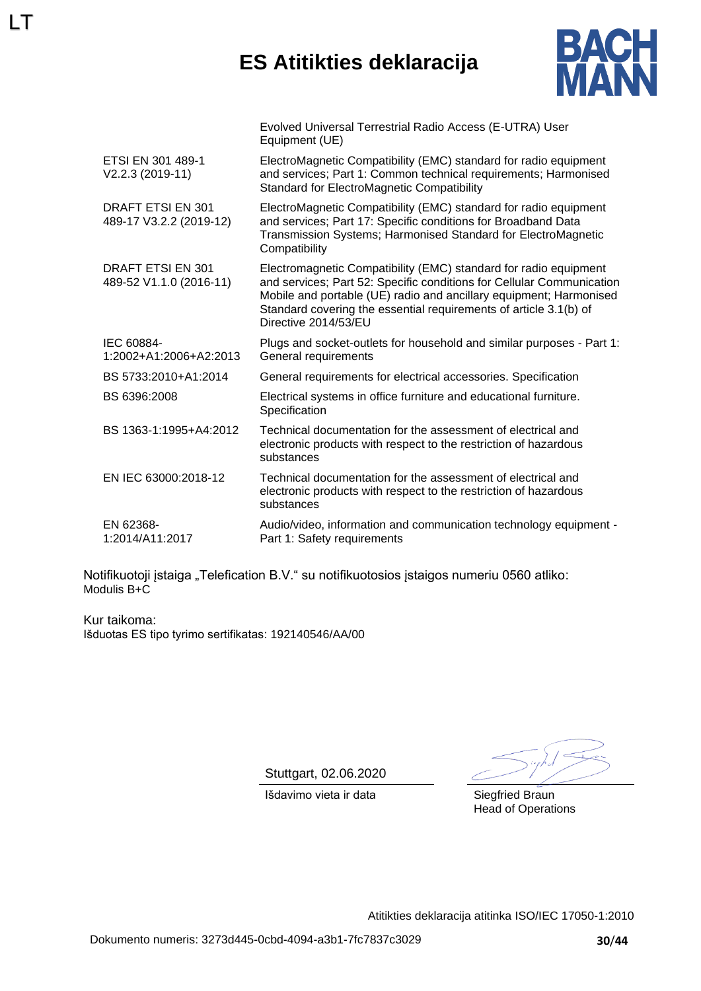# **ES Atitikties deklaracija**



|                                              | Evolved Universal Terrestrial Radio Access (E-UTRA) User<br>Equipment (UE)                                                                                                                                                                                                                                   |
|----------------------------------------------|--------------------------------------------------------------------------------------------------------------------------------------------------------------------------------------------------------------------------------------------------------------------------------------------------------------|
| ETSI EN 301 489-1<br>$V2.2.3 (2019-11)$      | ElectroMagnetic Compatibility (EMC) standard for radio equipment<br>and services; Part 1: Common technical requirements; Harmonised<br><b>Standard for ElectroMagnetic Compatibility</b>                                                                                                                     |
| DRAFT ETSI EN 301<br>489-17 V3.2.2 (2019-12) | ElectroMagnetic Compatibility (EMC) standard for radio equipment<br>and services; Part 17: Specific conditions for Broadband Data<br>Transmission Systems; Harmonised Standard for ElectroMagnetic<br>Compatibility                                                                                          |
| DRAFT ETSI EN 301<br>489-52 V1.1.0 (2016-11) | Electromagnetic Compatibility (EMC) standard for radio equipment<br>and services; Part 52: Specific conditions for Cellular Communication<br>Mobile and portable (UE) radio and ancillary equipment; Harmonised<br>Standard covering the essential requirements of article 3.1(b) of<br>Directive 2014/53/EU |
| IEC 60884-<br>1:2002+A1:2006+A2:2013         | Plugs and socket-outlets for household and similar purposes - Part 1:<br>General requirements                                                                                                                                                                                                                |
| BS 5733:2010+A1:2014                         | General requirements for electrical accessories. Specification                                                                                                                                                                                                                                               |
| BS 6396:2008                                 | Electrical systems in office furniture and educational furniture.<br>Specification                                                                                                                                                                                                                           |
| BS 1363-1:1995+A4:2012                       | Technical documentation for the assessment of electrical and<br>electronic products with respect to the restriction of hazardous<br>substances                                                                                                                                                               |
| EN IEC 63000:2018-12                         | Technical documentation for the assessment of electrical and<br>electronic products with respect to the restriction of hazardous<br>substances                                                                                                                                                               |
| EN 62368-<br>1:2014/A11:2017                 | Audio/video, information and communication technology equipment -<br>Part 1: Safety requirements                                                                                                                                                                                                             |

Notifikuotoji įstaiga "Telefication B.V." su notifikuotosios įstaigos numeriu 0560 atliko: Modulis B+C

Kur taikoma: Išduotas ES tipo tyrimo sertifikatas: 192140546/AA/00

LT

Stuttgart, 02.06.2020

Išdavimo vieta ir data **Siegfried Braun** 

Head of Operations

Atitikties deklaracija atitinka ISO/IEC 17050-1:2010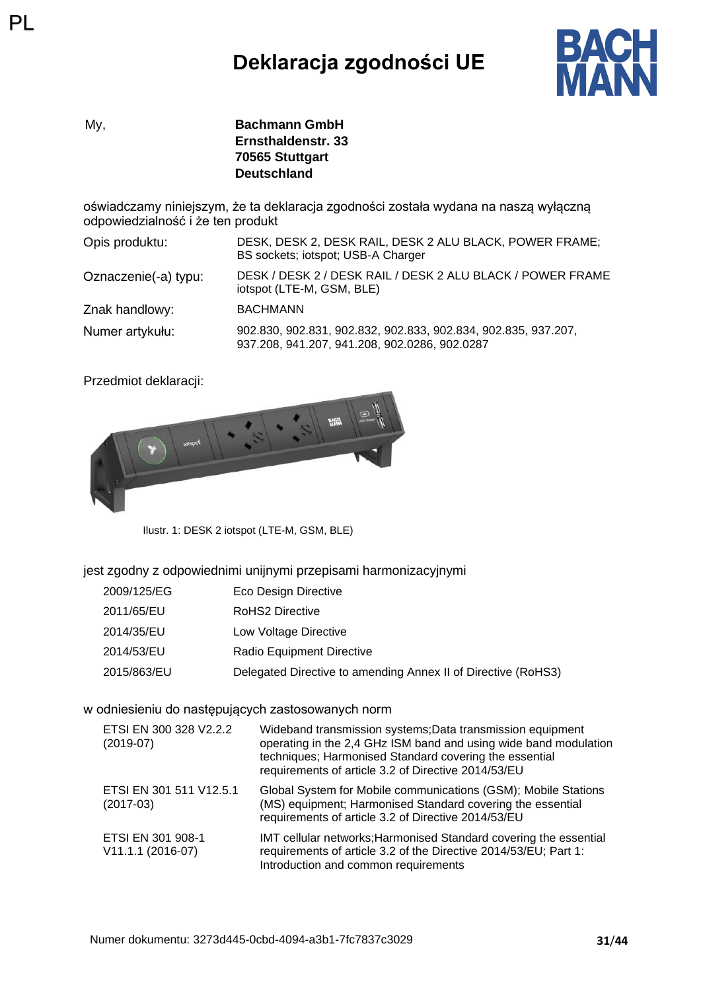# **Deklaracja zgodności UE**



My, **Bachmann GmbH Ernsthaldenstr. 33 70565 Stuttgart Deutschland**

oświadczamy niniejszym, że ta deklaracja zgodności została wydana na naszą wyłączną odpowiedzialność i że ten produkt

| Opis produktu:       | DESK, DESK 2, DESK RAIL, DESK 2 ALU BLACK, POWER FRAME;<br>BS sockets; iotspot; USB-A Charger                   |
|----------------------|-----------------------------------------------------------------------------------------------------------------|
| Oznaczenie(-a) typu: | DESK / DESK 2 / DESK RAIL / DESK 2 ALU BLACK / POWER FRAME<br>iotspot (LTE-M, GSM, BLE)                         |
| Znak handlowy:       | <b>BACHMANN</b>                                                                                                 |
| Numer artykułu:      | 902.830, 902.831, 902.832, 902.833, 902.834, 902.835, 937.207,<br>937.208, 941.207, 941.208, 902.0286, 902.0287 |

Przedmiot deklaracji:

PL



Ilustr. 1: DESK 2 iotspot (LTE-M, GSM, BLE)

#### jest zgodny z odpowiednimi unijnymi przepisami harmonizacyjnymi

- 2011/65/EU RoHS2 Directive
- 2014/35/EU Low Voltage Directive
- 2014/53/EU Radio Equipment Directive
- 2015/863/EU Delegated Directive to amending Annex II of Directive (RoHS3)

#### w odniesieniu do następujących zastosowanych norm

| ETSI EN 300 328 V2.2.2<br>$(2019-07)$    | Wideband transmission systems; Data transmission equipment<br>operating in the 2,4 GHz ISM band and using wide band modulation<br>techniques; Harmonised Standard covering the essential<br>requirements of article 3.2 of Directive 2014/53/EU |
|------------------------------------------|-------------------------------------------------------------------------------------------------------------------------------------------------------------------------------------------------------------------------------------------------|
| ETSI EN 301 511 V12.5.1<br>$(2017-03)$   | Global System for Mobile communications (GSM); Mobile Stations<br>(MS) equipment; Harmonised Standard covering the essential<br>requirements of article 3.2 of Directive 2014/53/EU                                                             |
| ETSI EN 301 908-1<br>$V11.1.1 (2016-07)$ | IMT cellular networks; Harmonised Standard covering the essential<br>requirements of article 3.2 of the Directive 2014/53/EU; Part 1:<br>Introduction and common requirements                                                                   |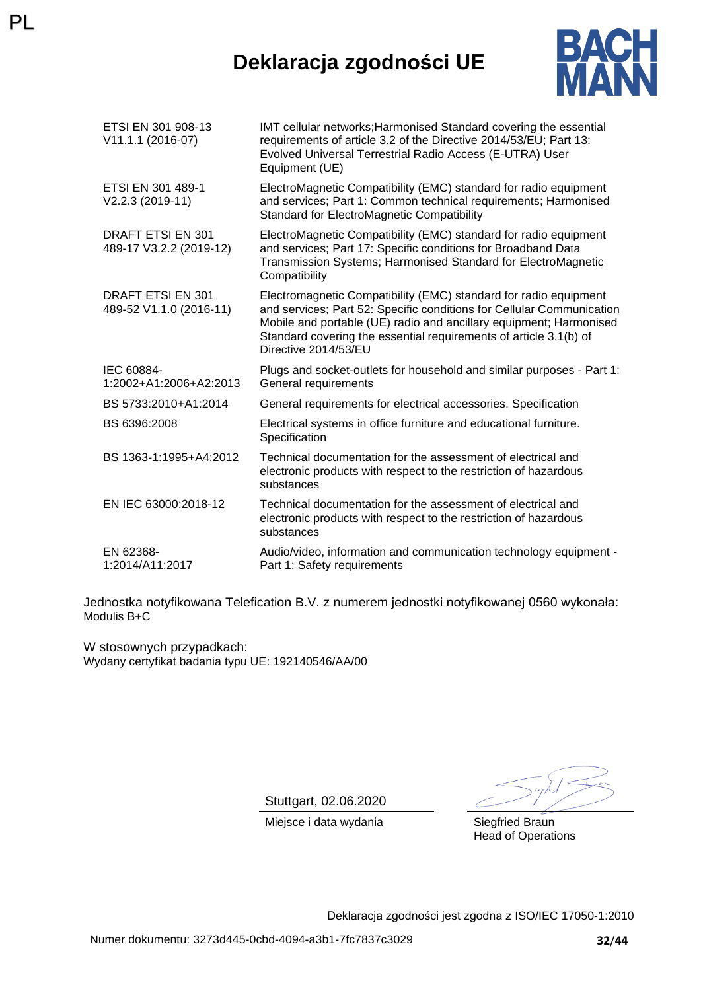### **Deklaracja zgodności UE**



| ETSI EN 301 908-13<br>V11.1.1 (2016-07)             | IMT cellular networks; Harmonised Standard covering the essential<br>requirements of article 3.2 of the Directive 2014/53/EU; Part 13:<br>Evolved Universal Terrestrial Radio Access (E-UTRA) User<br>Equipment (UE)                                                                                         |
|-----------------------------------------------------|--------------------------------------------------------------------------------------------------------------------------------------------------------------------------------------------------------------------------------------------------------------------------------------------------------------|
| ETSI EN 301 489-1<br>V2.2.3 (2019-11)               | ElectroMagnetic Compatibility (EMC) standard for radio equipment<br>and services; Part 1: Common technical requirements; Harmonised<br><b>Standard for ElectroMagnetic Compatibility</b>                                                                                                                     |
| DRAFT ETSI EN 301<br>489-17 V3.2.2 (2019-12)        | ElectroMagnetic Compatibility (EMC) standard for radio equipment<br>and services; Part 17: Specific conditions for Broadband Data<br>Transmission Systems; Harmonised Standard for ElectroMagnetic<br>Compatibility                                                                                          |
| <b>DRAFT ETSI EN 301</b><br>489-52 V1.1.0 (2016-11) | Electromagnetic Compatibility (EMC) standard for radio equipment<br>and services; Part 52: Specific conditions for Cellular Communication<br>Mobile and portable (UE) radio and ancillary equipment; Harmonised<br>Standard covering the essential requirements of article 3.1(b) of<br>Directive 2014/53/EU |
| IEC 60884-<br>1:2002+A1:2006+A2:2013                | Plugs and socket-outlets for household and similar purposes - Part 1:<br>General requirements                                                                                                                                                                                                                |
| BS 5733:2010+A1:2014                                | General requirements for electrical accessories. Specification                                                                                                                                                                                                                                               |
| BS 6396:2008                                        | Electrical systems in office furniture and educational furniture.<br>Specification                                                                                                                                                                                                                           |
| BS 1363-1:1995+A4:2012                              | Technical documentation for the assessment of electrical and<br>electronic products with respect to the restriction of hazardous<br>substances                                                                                                                                                               |
| EN IEC 63000:2018-12                                | Technical documentation for the assessment of electrical and<br>electronic products with respect to the restriction of hazardous<br>substances                                                                                                                                                               |
| EN 62368-<br>1:2014/A11:2017                        | Audio/video, information and communication technology equipment -<br>Part 1: Safety requirements                                                                                                                                                                                                             |

Jednostka notyfikowana Telefication B.V. z numerem jednostki notyfikowanej 0560 wykonała: Modulis B+C

W stosownych przypadkach: Wydany certyfikat badania typu UE: 192140546/AA/00

PL

Stuttgart, 02.06.2020

Miejsce i data wydania **Siegfried Braun** 

Head of Operations

Deklaracja zgodności jest zgodna z ISO/IEC 17050-1:2010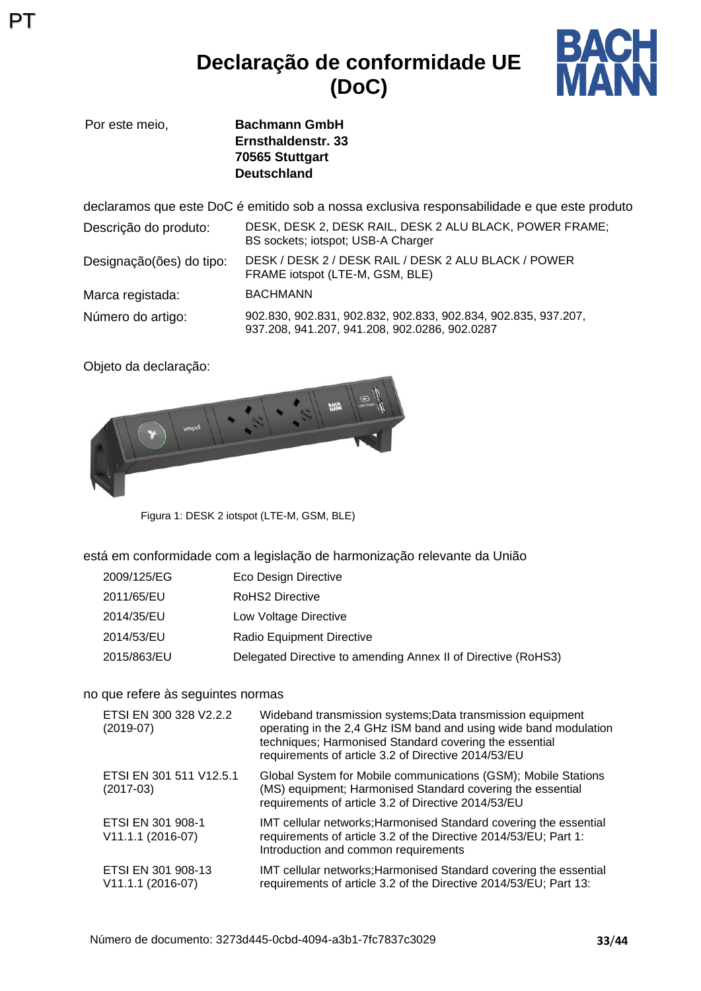### **Declaração de conformidade UE (DoC)**



Por este meio, **Bachmann GmbH Ernsthaldenstr. 33 70565 Stuttgart Deutschland**

declaramos que este DoC é emitido sob a nossa exclusiva responsabilidade e que este produto Descrição do produto: DESK, DESK 2, DESK RAIL, DESK 2 ALU BLACK, POWER FRAME; BS sockets; iotspot; USB-A Charger Designação(ões) do tipo: DESK / DESK 2 / DESK RAIL / DESK 2 ALU BLACK / POWER FRAME iotspot (LTE-M, GSM, BLE) Marca registada: BACHMANN Número do artigo: 902.830, 902.831, 902.832, 902.833, 902.834, 902.835, 937.207, 937.208, 941.207, 941.208, 902.0286, 902.0287

Objeto da declaração:

PT



Figura 1: DESK 2 iotspot (LTE-M, GSM, BLE)

está em conformidade com a legislação de harmonização relevante da União

| 2009/125/EG | Eco Design Directive                                          |
|-------------|---------------------------------------------------------------|
| 2011/65/EU  | <b>RoHS2 Directive</b>                                        |
| 2014/35/EU  | Low Voltage Directive                                         |
| 2014/53/EU  | Radio Equipment Directive                                     |
| 2015/863/EU | Delegated Directive to amending Annex II of Directive (RoHS3) |

#### no que refere às seguintes normas

| ETSI EN 300 328 V2.2.2<br>$(2019-07)$   | Wideband transmission systems; Data transmission equipment<br>operating in the 2,4 GHz ISM band and using wide band modulation<br>techniques; Harmonised Standard covering the essential<br>requirements of article 3.2 of Directive 2014/53/EU |
|-----------------------------------------|-------------------------------------------------------------------------------------------------------------------------------------------------------------------------------------------------------------------------------------------------|
| ETSI EN 301 511 V12.5.1<br>$(2017-03)$  | Global System for Mobile communications (GSM); Mobile Stations<br>(MS) equipment; Harmonised Standard covering the essential<br>requirements of article 3.2 of Directive 2014/53/EU                                                             |
| ETSI EN 301 908-1<br>V11.1.1 (2016-07)  | IMT cellular networks; Harmonised Standard covering the essential<br>requirements of article 3.2 of the Directive 2014/53/EU; Part 1:<br>Introduction and common requirements                                                                   |
| ETSI EN 301 908-13<br>V11.1.1 (2016-07) | IMT cellular networks; Harmonised Standard covering the essential<br>requirements of article 3.2 of the Directive 2014/53/EU; Part 13:                                                                                                          |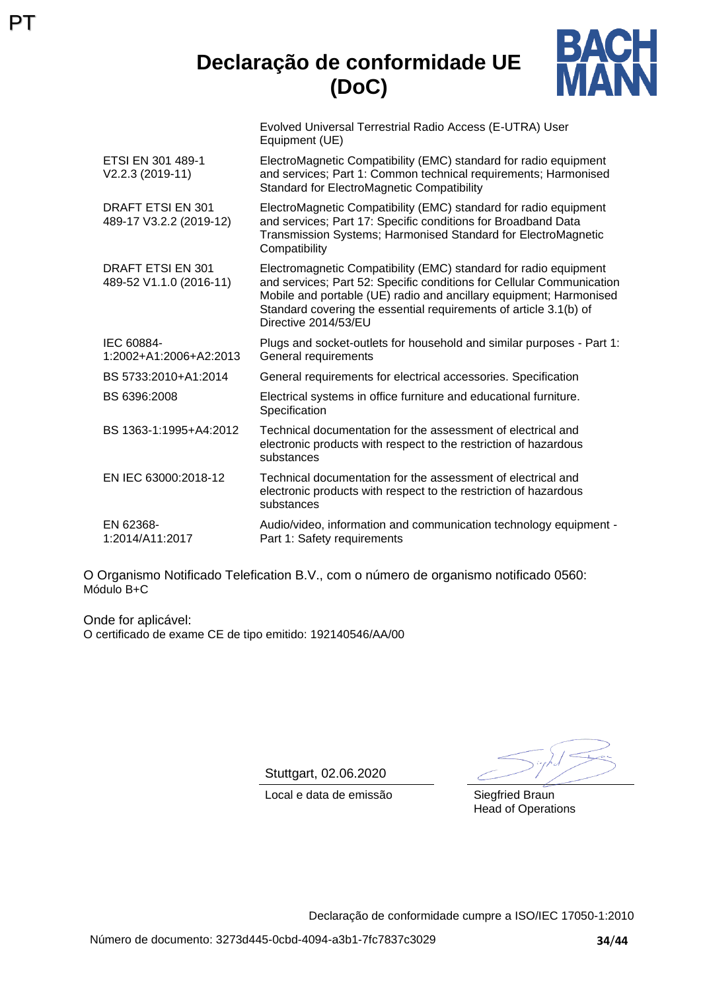### **Declaração de conformidade UE (DoC)**



Evolved Universal Terrestrial Radio Access (E-UTRA) User Equipment (UE)

| ETSI EN 301 489-1<br>V2.2.3 (2019-11)        | ElectroMagnetic Compatibility (EMC) standard for radio equipment<br>and services; Part 1: Common technical requirements; Harmonised<br><b>Standard for ElectroMagnetic Compatibility</b>                                                                                                                     |
|----------------------------------------------|--------------------------------------------------------------------------------------------------------------------------------------------------------------------------------------------------------------------------------------------------------------------------------------------------------------|
| DRAFT ETSI EN 301<br>489-17 V3.2.2 (2019-12) | ElectroMagnetic Compatibility (EMC) standard for radio equipment<br>and services; Part 17: Specific conditions for Broadband Data<br>Transmission Systems; Harmonised Standard for ElectroMagnetic<br>Compatibility                                                                                          |
| DRAFT ETSI EN 301<br>489-52 V1.1.0 (2016-11) | Electromagnetic Compatibility (EMC) standard for radio equipment<br>and services; Part 52: Specific conditions for Cellular Communication<br>Mobile and portable (UE) radio and ancillary equipment; Harmonised<br>Standard covering the essential requirements of article 3.1(b) of<br>Directive 2014/53/EU |
| IEC 60884-<br>1:2002+A1:2006+A2:2013         | Plugs and socket-outlets for household and similar purposes - Part 1:<br>General requirements                                                                                                                                                                                                                |
| BS 5733:2010+A1:2014                         | General requirements for electrical accessories. Specification                                                                                                                                                                                                                                               |
| BS 6396:2008                                 | Electrical systems in office furniture and educational furniture.<br>Specification                                                                                                                                                                                                                           |
| BS 1363-1:1995+A4:2012                       | Technical documentation for the assessment of electrical and<br>electronic products with respect to the restriction of hazardous<br>substances                                                                                                                                                               |
| EN IEC 63000:2018-12                         | Technical documentation for the assessment of electrical and<br>electronic products with respect to the restriction of hazardous<br>substances                                                                                                                                                               |
| EN 62368-<br>1:2014/A11:2017                 | Audio/video, information and communication technology equipment -<br>Part 1: Safety requirements                                                                                                                                                                                                             |

O Organismo Notificado Telefication B.V., com o número de organismo notificado 0560: Módulo B+C

Onde for aplicável: O certificado de exame CE de tipo emitido: 192140546/AA/00

PT

Stuttgart, 02.06.2020

Local e data de emissão Siegfried Braun

Head of Operations

Declaração de conformidade cumpre a ISO/IEC 17050-1:2010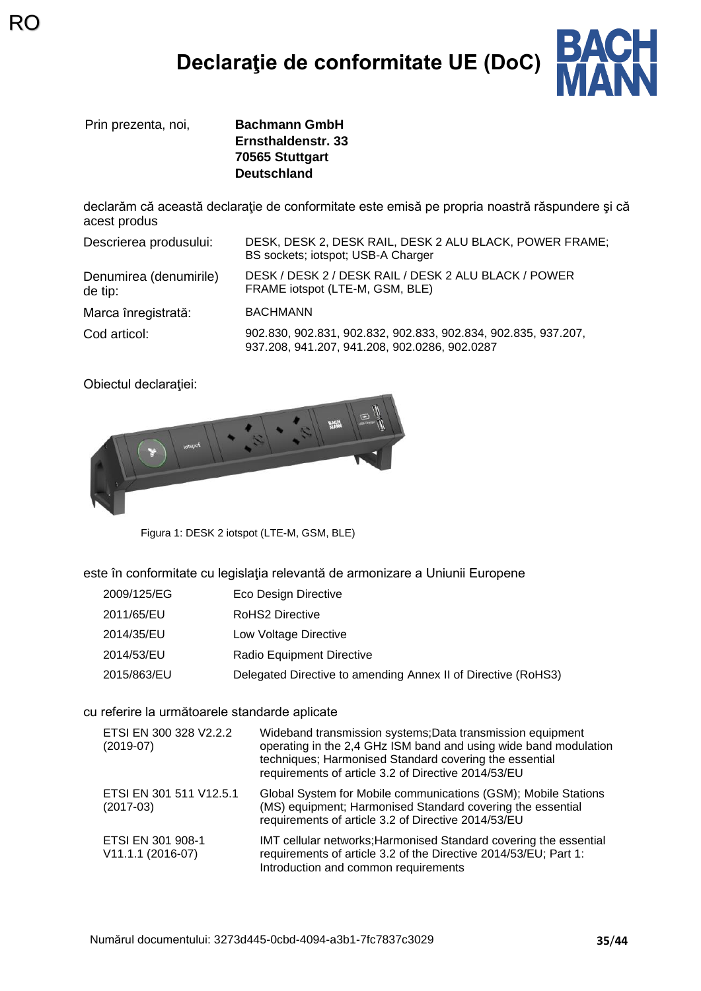# **Declaraţie de conformitate UE (DoC)**



Prin prezenta, noi, **Bachmann GmbH**

RO

**Ernsthaldenstr. 33 70565 Stuttgart Deutschland**

declarăm că această declaraţie de conformitate este emisă pe propria noastră răspundere şi că acest produs

Descrierea produsului: DESK, DESK 2, DESK RAIL, DESK 2 ALU BLACK, POWER FRAME; BS sockets; iotspot; USB-A Charger Denumirea (denumirile) de tip: DESK / DESK 2 / DESK RAIL / DESK 2 ALU BLACK / POWER FRAME iotspot (LTE-M, GSM, BLE) Marca înregistrată: BACHMANN Cod articol: 902.830, 902.831, 902.832, 902.833, 902.834, 902.835, 937.207, 937.208, 941.207, 941.208, 902.0286, 902.0287

Obiectul declaratiei:



Figura 1: DESK 2 iotspot (LTE-M, GSM, BLE)

este în conformitate cu legislația relevantă de armonizare a Uniunii Europene

- 2009/125/EG Eco Design Directive
- 2011/65/EU RoHS2 Directive
- 2014/35/EU Low Voltage Directive
- 2014/53/EU Radio Equipment Directive
- 2015/863/EU Delegated Directive to amending Annex II of Directive (RoHS3)

#### cu referire la următoarele standarde aplicate

| ETSI EN 300 328 V2.2.2<br>$(2019-07)$  | Wideband transmission systems; Data transmission equipment<br>operating in the 2,4 GHz ISM band and using wide band modulation<br>techniques; Harmonised Standard covering the essential<br>requirements of article 3.2 of Directive 2014/53/EU |
|----------------------------------------|-------------------------------------------------------------------------------------------------------------------------------------------------------------------------------------------------------------------------------------------------|
| ETSI EN 301 511 V12.5.1<br>$(2017-03)$ | Global System for Mobile communications (GSM); Mobile Stations<br>(MS) equipment; Harmonised Standard covering the essential<br>requirements of article 3.2 of Directive 2014/53/EU                                                             |
| ETSI EN 301 908-1<br>V11.1.1 (2016-07) | IMT cellular networks; Harmonised Standard covering the essential<br>requirements of article 3.2 of the Directive 2014/53/EU; Part 1:<br>Introduction and common requirements                                                                   |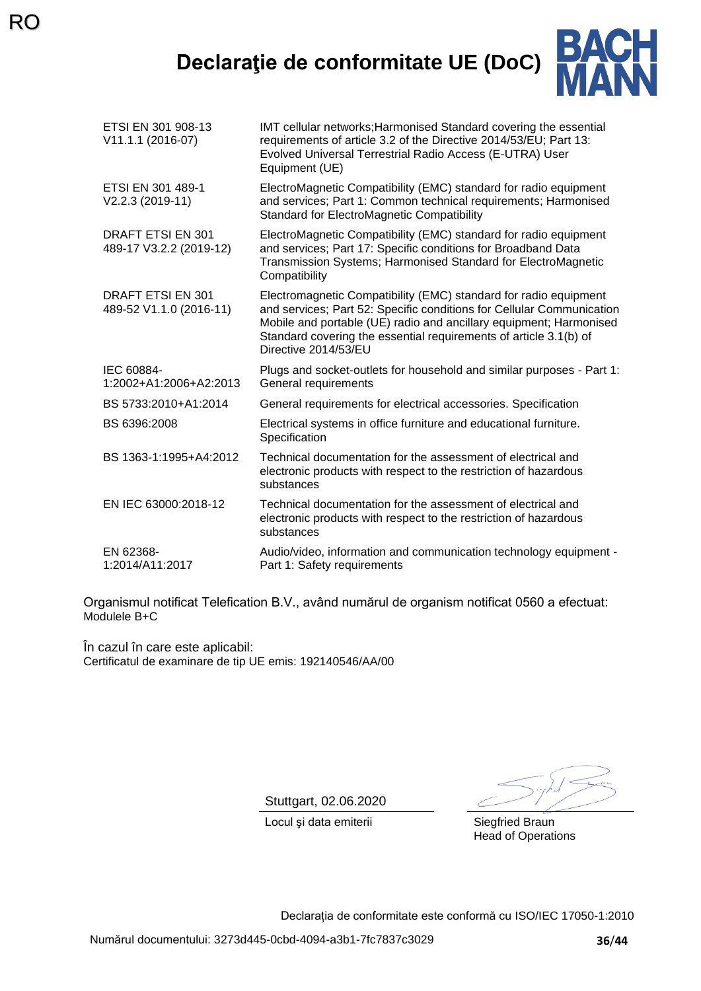# **Declaraţie de conformitate UE (DoC)**



| ETSI EN 301 908-13<br>V11.1.1 (2016-07)      | IMT cellular networks; Harmonised Standard covering the essential<br>requirements of article 3.2 of the Directive 2014/53/EU; Part 13:<br>Evolved Universal Terrestrial Radio Access (E-UTRA) User<br>Equipment (UE)                                                                                         |
|----------------------------------------------|--------------------------------------------------------------------------------------------------------------------------------------------------------------------------------------------------------------------------------------------------------------------------------------------------------------|
| ETSI EN 301 489-1<br>V2.2.3 (2019-11)        | ElectroMagnetic Compatibility (EMC) standard for radio equipment<br>and services; Part 1: Common technical requirements; Harmonised<br><b>Standard for ElectroMagnetic Compatibility</b>                                                                                                                     |
| DRAFT ETSI EN 301<br>489-17 V3.2.2 (2019-12) | ElectroMagnetic Compatibility (EMC) standard for radio equipment<br>and services; Part 17: Specific conditions for Broadband Data<br>Transmission Systems; Harmonised Standard for ElectroMagnetic<br>Compatibility                                                                                          |
| DRAFT ETSI EN 301<br>489-52 V1.1.0 (2016-11) | Electromagnetic Compatibility (EMC) standard for radio equipment<br>and services; Part 52: Specific conditions for Cellular Communication<br>Mobile and portable (UE) radio and ancillary equipment; Harmonised<br>Standard covering the essential requirements of article 3.1(b) of<br>Directive 2014/53/EU |
| IEC 60884-<br>1:2002+A1:2006+A2:2013         | Plugs and socket-outlets for household and similar purposes - Part 1:<br>General requirements                                                                                                                                                                                                                |
| BS 5733:2010+A1:2014                         | General requirements for electrical accessories. Specification                                                                                                                                                                                                                                               |
| BS 6396:2008                                 | Electrical systems in office furniture and educational furniture.<br>Specification                                                                                                                                                                                                                           |
| BS 1363-1:1995+A4:2012                       | Technical documentation for the assessment of electrical and<br>electronic products with respect to the restriction of hazardous<br>substances                                                                                                                                                               |
| EN IEC 63000:2018-12                         | Technical documentation for the assessment of electrical and<br>electronic products with respect to the restriction of hazardous<br>substances                                                                                                                                                               |
| EN 62368-<br>1:2014/A11:2017                 | Audio/video, information and communication technology equipment -<br>Part 1: Safety requirements                                                                                                                                                                                                             |

Organismul notificat Telefication B.V., având numărul de organism notificat 0560 a efectuat: Modulele B+C

În cazul în care este aplicabil: Certificatul de examinare de tip UE emis: 192140546/AA/00

Stuttgart, 02.06.2020

Locul și data emiterii Siegfried Braun

Head of Operations

Declarația de conformitate este conformă cu ISO/IEC 17050-1:2010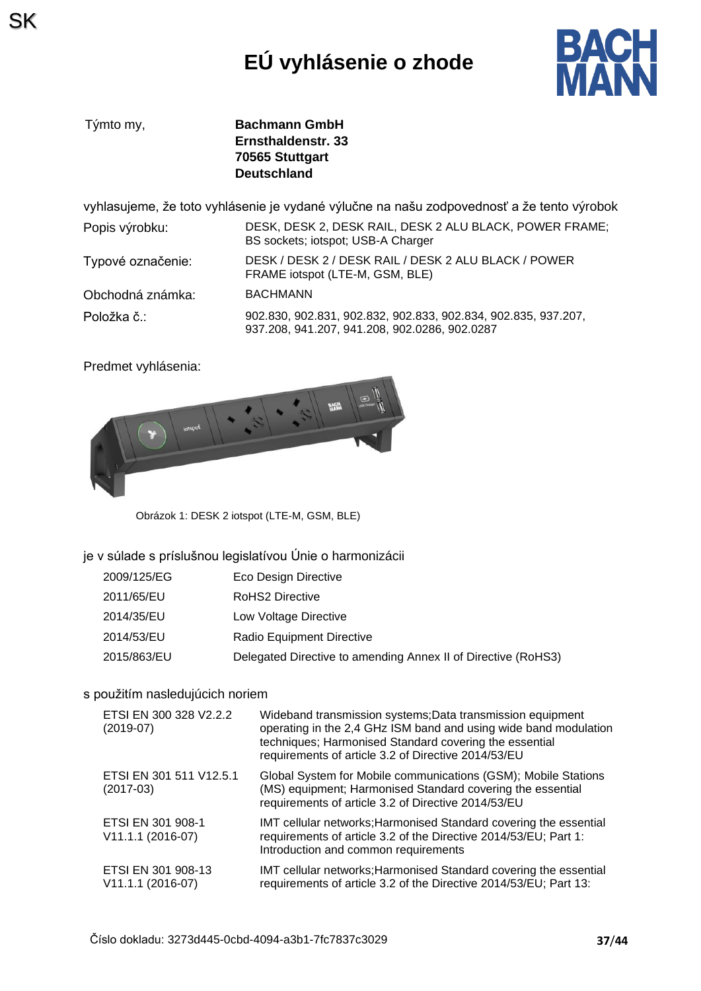# **EÚ vyhlásenie o zhode**



| Týmto my, | <b>Bachmann GmbH</b> |
|-----------|----------------------|
|           | Ernsthaldenstr, 33   |
|           | 70565 Stuttgart      |
|           | <b>Deutschland</b>   |

vyhlasujeme, že toto vyhlásenie je vydané výlučne na našu zodpovednosť a že tento výrobok

| Popis výrobku:    | DESK, DESK 2, DESK RAIL, DESK 2 ALU BLACK, POWER FRAME;<br>BS sockets; iotspot; USB-A Charger                   |
|-------------------|-----------------------------------------------------------------------------------------------------------------|
| Typové označenie: | DESK / DESK 2 / DESK RAIL / DESK 2 ALU BLACK / POWER<br>FRAME iotspot (LTE-M, GSM, BLE)                         |
| Obchodná známka:  | <b>BACHMANN</b>                                                                                                 |
| Položka č∴        | 902.830, 902.831, 902.832, 902.833, 902.834, 902.835, 937.207,<br>937.208, 941.207, 941.208, 902.0286, 902.0287 |

Predmet vyhlásenia:



Obrázok 1: DESK 2 iotspot (LTE-M, GSM, BLE)

je v súlade s príslušnou legislatívou Únie o harmonizácii

| Eco Design Directive                                          |
|---------------------------------------------------------------|
| RoHS2 Directive                                               |
| Low Voltage Directive                                         |
| Radio Equipment Directive                                     |
| Delegated Directive to amending Annex II of Directive (RoHS3) |
|                                                               |

#### s použitím nasledujúcich noriem

| ETSI EN 300 328 V2.2.2<br>$(2019-07)$     | Wideband transmission systems; Data transmission equipment<br>operating in the 2,4 GHz ISM band and using wide band modulation<br>techniques; Harmonised Standard covering the essential<br>requirements of article 3.2 of Directive 2014/53/EU |
|-------------------------------------------|-------------------------------------------------------------------------------------------------------------------------------------------------------------------------------------------------------------------------------------------------|
| ETSI EN 301 511 V12.5.1<br>$(2017-03)$    | Global System for Mobile communications (GSM); Mobile Stations<br>(MS) equipment; Harmonised Standard covering the essential<br>requirements of article 3.2 of Directive 2014/53/EU                                                             |
| ETSI EN 301 908-1<br>V11.1.1 (2016-07)    | IMT cellular networks; Harmonised Standard covering the essential<br>requirements of article 3.2 of the Directive 2014/53/EU; Part 1:<br>Introduction and common requirements                                                                   |
| ETSI EN 301 908-13<br>$V11.1.1 (2016-07)$ | IMT cellular networks; Harmonised Standard covering the essential<br>requirements of article 3.2 of the Directive 2014/53/EU; Part 13:                                                                                                          |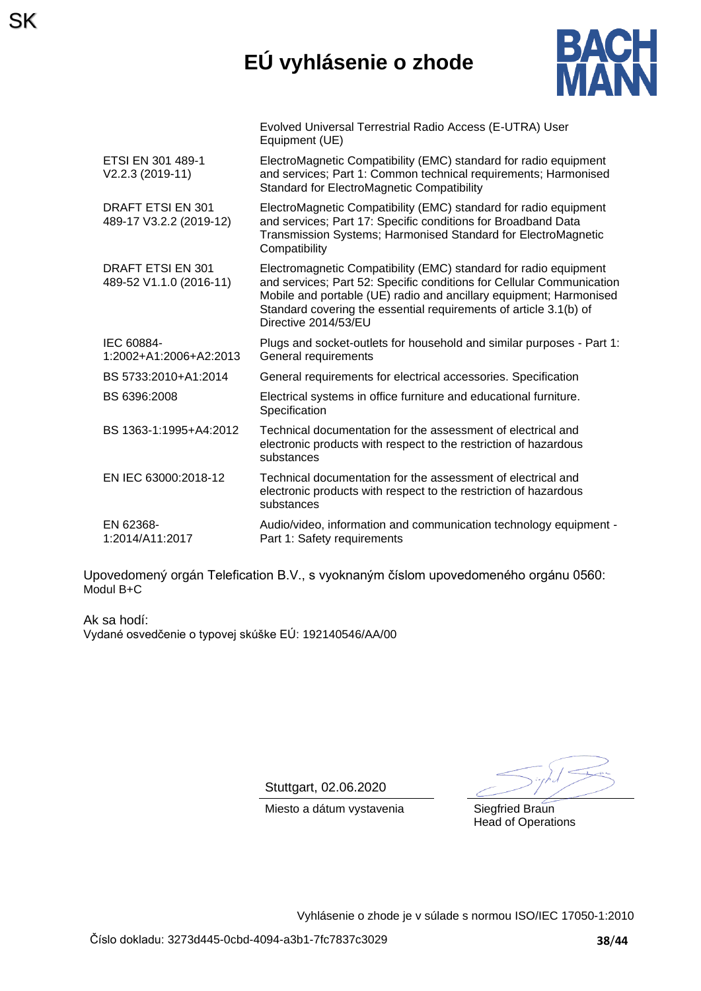# **EÚ vyhlásenie o zhode**



|                                                     | Evolved Universal Terrestrial Radio Access (E-UTRA) User<br>Equipment (UE)                                                                                                                                                                                                                                   |
|-----------------------------------------------------|--------------------------------------------------------------------------------------------------------------------------------------------------------------------------------------------------------------------------------------------------------------------------------------------------------------|
| ETSI EN 301 489-1<br>V2.2.3 (2019-11)               | ElectroMagnetic Compatibility (EMC) standard for radio equipment<br>and services; Part 1: Common technical requirements; Harmonised<br><b>Standard for ElectroMagnetic Compatibility</b>                                                                                                                     |
| <b>DRAFT ETSI EN 301</b><br>489-17 V3.2.2 (2019-12) | ElectroMagnetic Compatibility (EMC) standard for radio equipment<br>and services; Part 17: Specific conditions for Broadband Data<br>Transmission Systems; Harmonised Standard for ElectroMagnetic<br>Compatibility                                                                                          |
| DRAFT ETSI EN 301<br>489-52 V1.1.0 (2016-11)        | Electromagnetic Compatibility (EMC) standard for radio equipment<br>and services; Part 52: Specific conditions for Cellular Communication<br>Mobile and portable (UE) radio and ancillary equipment; Harmonised<br>Standard covering the essential requirements of article 3.1(b) of<br>Directive 2014/53/EU |
| IEC 60884-<br>1:2002+A1:2006+A2:2013                | Plugs and socket-outlets for household and similar purposes - Part 1:<br>General requirements                                                                                                                                                                                                                |
| BS 5733:2010+A1:2014                                | General requirements for electrical accessories. Specification                                                                                                                                                                                                                                               |
| BS 6396:2008                                        | Electrical systems in office furniture and educational furniture.<br>Specification                                                                                                                                                                                                                           |
| BS 1363-1:1995+A4:2012                              | Technical documentation for the assessment of electrical and<br>electronic products with respect to the restriction of hazardous<br>substances                                                                                                                                                               |
| EN IEC 63000:2018-12                                | Technical documentation for the assessment of electrical and<br>electronic products with respect to the restriction of hazardous<br>substances                                                                                                                                                               |
| EN 62368-<br>1:2014/A11:2017                        | Audio/video, information and communication technology equipment -<br>Part 1: Safety requirements                                                                                                                                                                                                             |

Upovedomený orgán Telefication B.V., s vyoknaným číslom upovedomeného orgánu 0560: Modul B+C

Ak sa hodí: Vydané osvedčenie o typovej skúške EÚ: 192140546/AA/00

SK

Stuttgart, 02.06.2020

Miesto a dátum vystavenia Siegfried Braun

Head of Operations

Vyhlásenie o zhode je v súlade s normou ISO/IEC 17050-1:2010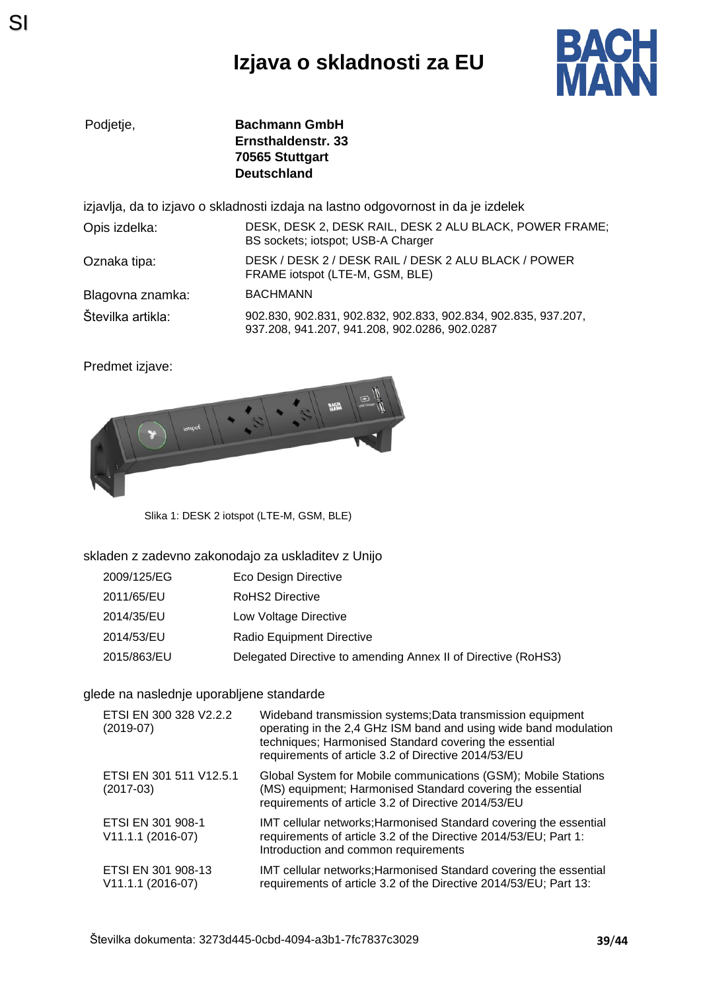# **Izjava o skladnosti za EU**



**Bachmann GmbH Ernsthaldenstr. 33 70565 Stuttgart Deutschland**

izjavlja, da to izjavo o skladnosti izdaja na lastno odgovornost in da je izdelek

| Opis izdelka:     | DESK, DESK 2, DESK RAIL, DESK 2 ALU BLACK, POWER FRAME;<br>BS sockets; iotspot; USB-A Charger                   |
|-------------------|-----------------------------------------------------------------------------------------------------------------|
| Oznaka tipa:      | DESK / DESK 2 / DESK RAIL / DESK 2 ALU BLACK / POWER<br>FRAME iotspot (LTE-M, GSM, BLE)                         |
| Blagovna znamka:  | <b>BACHMANN</b>                                                                                                 |
| Številka artikla: | 902.830, 902.831, 902.832, 902.833, 902.834, 902.835, 937.207,<br>937.208, 941.207, 941.208, 902.0286, 902.0287 |

Predmet izjave:



Slika 1: DESK 2 iotspot (LTE-M, GSM, BLE)

#### skladen z zadevno zakonodajo za uskladitev z Unijo

| 2009/125/EG | Eco Design Directive                                          |
|-------------|---------------------------------------------------------------|
| 2011/65/EU  | <b>RoHS2 Directive</b>                                        |
| 2014/35/EU  | Low Voltage Directive                                         |
| 2014/53/EU  | Radio Equipment Directive                                     |
| 2015/863/EU | Delegated Directive to amending Annex II of Directive (RoHS3) |

#### glede na naslednje uporabljene standarde

| ETSI EN 300 328 V2.2.2<br>$(2019-07)$     | Wideband transmission systems; Data transmission equipment<br>operating in the 2,4 GHz ISM band and using wide band modulation<br>techniques; Harmonised Standard covering the essential<br>requirements of article 3.2 of Directive 2014/53/EU |
|-------------------------------------------|-------------------------------------------------------------------------------------------------------------------------------------------------------------------------------------------------------------------------------------------------|
| ETSI EN 301 511 V12.5.1<br>$(2017-03)$    | Global System for Mobile communications (GSM); Mobile Stations<br>(MS) equipment; Harmonised Standard covering the essential<br>requirements of article 3.2 of Directive 2014/53/EU                                                             |
| ETSI EN 301 908-1<br>V11.1.1 (2016-07)    | IMT cellular networks; Harmonised Standard covering the essential<br>requirements of article 3.2 of the Directive 2014/53/EU; Part 1:<br>Introduction and common requirements                                                                   |
| ETSI EN 301 908-13<br>$V11.1.1 (2016-07)$ | IMT cellular networks; Harmonised Standard covering the essential<br>requirements of article 3.2 of the Directive 2014/53/EU; Part 13:                                                                                                          |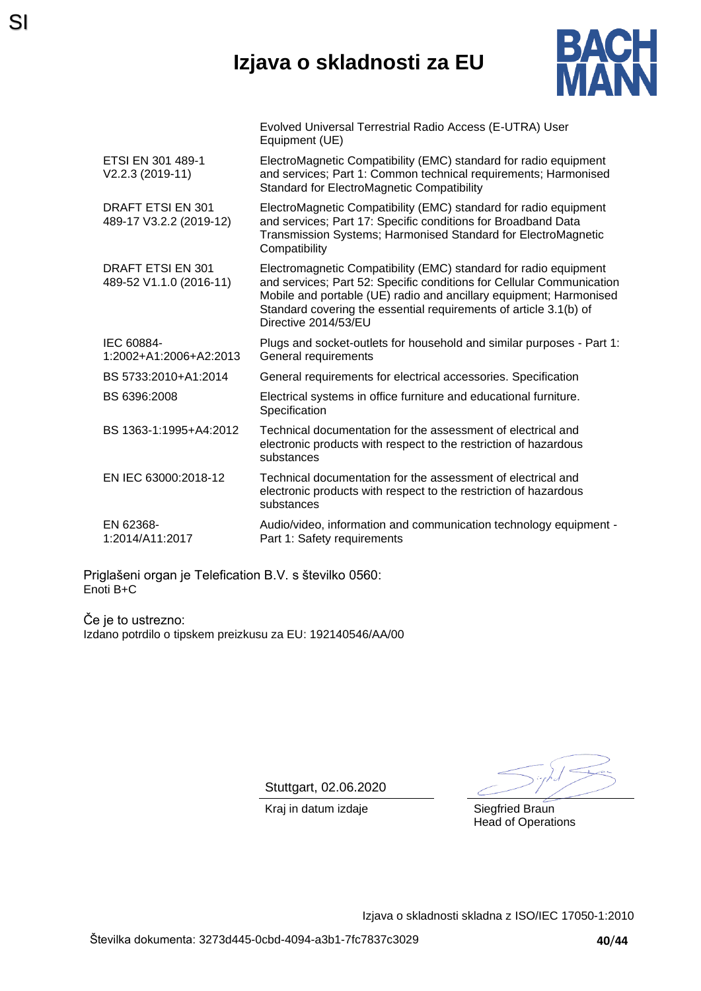### **Izjava o skladnosti za EU**



|                                                     | Evolved Universal Terrestrial Radio Access (E-UTRA) User<br>Equipment (UE)                                                                                                                                                                                                                                   |
|-----------------------------------------------------|--------------------------------------------------------------------------------------------------------------------------------------------------------------------------------------------------------------------------------------------------------------------------------------------------------------|
| ETSI EN 301 489-1<br>V2.2.3 (2019-11)               | ElectroMagnetic Compatibility (EMC) standard for radio equipment<br>and services; Part 1: Common technical requirements; Harmonised<br><b>Standard for ElectroMagnetic Compatibility</b>                                                                                                                     |
| DRAFT ETSI EN 301<br>489-17 V3.2.2 (2019-12)        | ElectroMagnetic Compatibility (EMC) standard for radio equipment<br>and services; Part 17: Specific conditions for Broadband Data<br>Transmission Systems; Harmonised Standard for ElectroMagnetic<br>Compatibility                                                                                          |
| <b>DRAFT ETSI EN 301</b><br>489-52 V1.1.0 (2016-11) | Electromagnetic Compatibility (EMC) standard for radio equipment<br>and services; Part 52: Specific conditions for Cellular Communication<br>Mobile and portable (UE) radio and ancillary equipment; Harmonised<br>Standard covering the essential requirements of article 3.1(b) of<br>Directive 2014/53/EU |
| IEC 60884-<br>1:2002+A1:2006+A2:2013                | Plugs and socket-outlets for household and similar purposes - Part 1:<br>General requirements                                                                                                                                                                                                                |
| BS 5733:2010+A1:2014                                | General requirements for electrical accessories. Specification                                                                                                                                                                                                                                               |
| BS 6396:2008                                        | Electrical systems in office furniture and educational furniture.<br>Specification                                                                                                                                                                                                                           |
| BS 1363-1:1995+A4:2012                              | Technical documentation for the assessment of electrical and<br>electronic products with respect to the restriction of hazardous<br>substances                                                                                                                                                               |
| EN IEC 63000:2018-12                                | Technical documentation for the assessment of electrical and<br>electronic products with respect to the restriction of hazardous<br>substances                                                                                                                                                               |
| EN 62368-<br>1:2014/A11:2017                        | Audio/video, information and communication technology equipment -<br>Part 1: Safety requirements                                                                                                                                                                                                             |

Priglašeni organ je Telefication B.V. s številko 0560: Enoti B+C

SI

Če je to ustrezno: Izdano potrdilo o tipskem preizkusu za EU: 192140546/AA/00

Stuttgart, 02.06.2020

Head of Operations

Kraj in datum izdaje **Siegfried Braun** 

Izjava o skladnosti skladna z ISO/IEC 17050-1:2010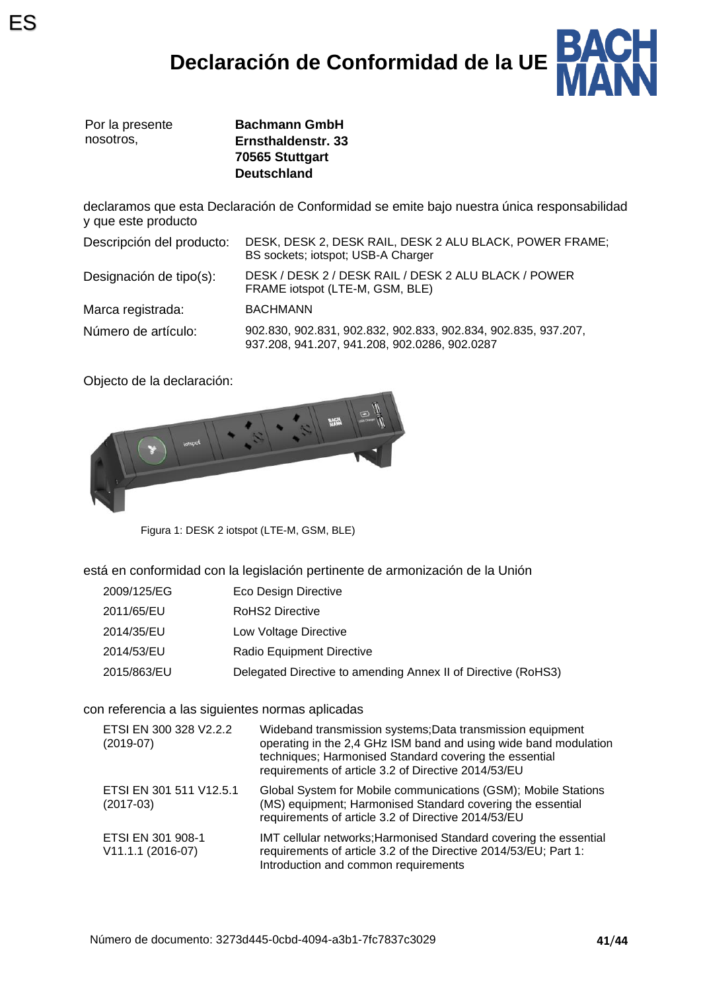# **Declaración de Conformidad de la UE**



|           | Por la presente |
|-----------|-----------------|
| nosotros. |                 |

**Bachmann GmbH Ernsthaldenstr. 33 70565 Stuttgart Deutschland**

declaramos que esta Declaración de Conformidad se emite bajo nuestra única responsabilidad y que este producto

| Descripción del producto: | DESK, DESK 2, DESK RAIL, DESK 2 ALU BLACK, POWER FRAME;<br>BS sockets; iotspot; USB-A Charger                   |
|---------------------------|-----------------------------------------------------------------------------------------------------------------|
| Designación de tipo(s):   | DESK / DESK 2 / DESK RAIL / DESK 2 ALU BLACK / POWER<br>FRAME iotspot (LTE-M, GSM, BLE)                         |
| Marca registrada:         | <b>BACHMANN</b>                                                                                                 |
| Número de artículo:       | 902.830, 902.831, 902.832, 902.833, 902.834, 902.835, 937.207,<br>937.208, 941.207, 941.208, 902.0286, 902.0287 |

Objecto de la declaración:



Figura 1: DESK 2 iotspot (LTE-M, GSM, BLE)

está en conformidad con la legislación pertinente de armonización de la Unión

| 2009/125/EG | Eco Design Directive |
|-------------|----------------------|
|-------------|----------------------|

- 2011/65/EU RoHS2 Directive
- 2014/35/EU Low Voltage Directive
- 2014/53/EU Radio Equipment Directive
- 2015/863/EU Delegated Directive to amending Annex II of Directive (RoHS3)

con referencia a las siguientes normas aplicadas

| ETSI EN 300 328 V2.2.2<br>$(2019-07)$  | Wideband transmission systems; Data transmission equipment<br>operating in the 2,4 GHz ISM band and using wide band modulation<br>techniques; Harmonised Standard covering the essential<br>requirements of article 3.2 of Directive 2014/53/EU |
|----------------------------------------|-------------------------------------------------------------------------------------------------------------------------------------------------------------------------------------------------------------------------------------------------|
| ETSI EN 301 511 V12.5.1<br>$(2017-03)$ | Global System for Mobile communications (GSM); Mobile Stations<br>(MS) equipment; Harmonised Standard covering the essential<br>requirements of article 3.2 of Directive 2014/53/EU                                                             |
| ETSI EN 301 908-1<br>V11.1.1 (2016-07) | IMT cellular networks; Harmonised Standard covering the essential<br>requirements of article 3.2 of the Directive 2014/53/EU; Part 1:<br>Introduction and common requirements                                                                   |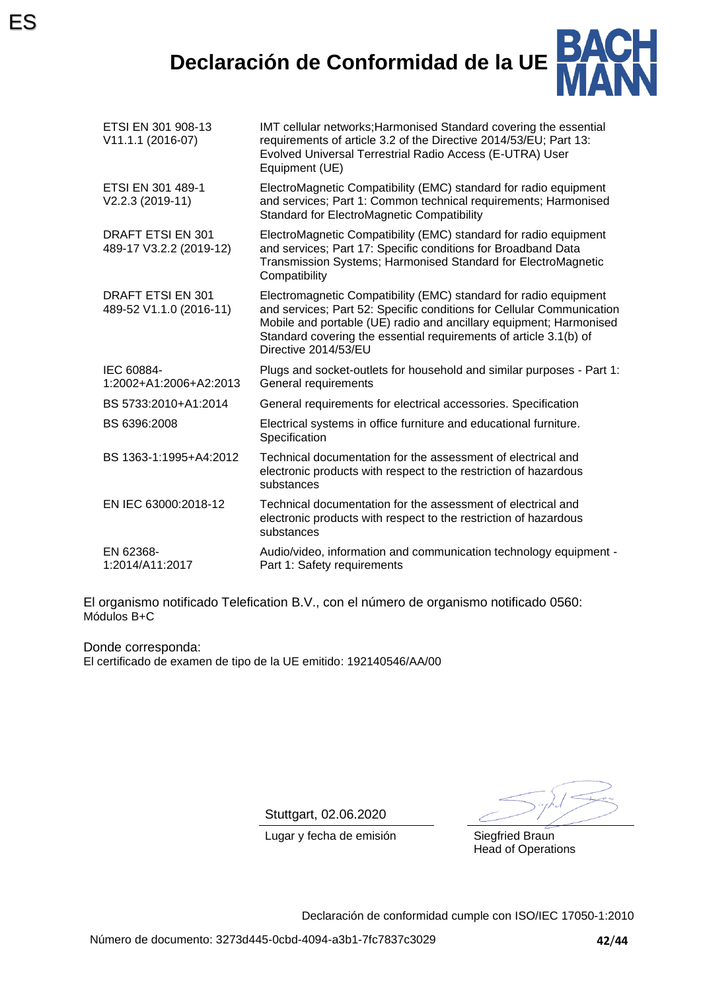

| ETSI EN 301 908-13<br>V11.1.1 (2016-07)      | IMT cellular networks; Harmonised Standard covering the essential<br>requirements of article 3.2 of the Directive 2014/53/EU; Part 13:<br>Evolved Universal Terrestrial Radio Access (E-UTRA) User<br>Equipment (UE)                                                                                         |
|----------------------------------------------|--------------------------------------------------------------------------------------------------------------------------------------------------------------------------------------------------------------------------------------------------------------------------------------------------------------|
| ETSI EN 301 489-1<br>V2.2.3 (2019-11)        | ElectroMagnetic Compatibility (EMC) standard for radio equipment<br>and services; Part 1: Common technical requirements; Harmonised<br><b>Standard for ElectroMagnetic Compatibility</b>                                                                                                                     |
| DRAFT ETSI EN 301<br>489-17 V3.2.2 (2019-12) | ElectroMagnetic Compatibility (EMC) standard for radio equipment<br>and services; Part 17: Specific conditions for Broadband Data<br>Transmission Systems; Harmonised Standard for ElectroMagnetic<br>Compatibility                                                                                          |
| DRAFT ETSI EN 301<br>489-52 V1.1.0 (2016-11) | Electromagnetic Compatibility (EMC) standard for radio equipment<br>and services; Part 52: Specific conditions for Cellular Communication<br>Mobile and portable (UE) radio and ancillary equipment; Harmonised<br>Standard covering the essential requirements of article 3.1(b) of<br>Directive 2014/53/EU |
| IEC 60884-<br>1:2002+A1:2006+A2:2013         | Plugs and socket-outlets for household and similar purposes - Part 1:<br>General requirements                                                                                                                                                                                                                |
| BS 5733:2010+A1:2014                         | General requirements for electrical accessories. Specification                                                                                                                                                                                                                                               |
| BS 6396:2008                                 | Electrical systems in office furniture and educational furniture.<br>Specification                                                                                                                                                                                                                           |
| BS 1363-1:1995+A4:2012                       | Technical documentation for the assessment of electrical and<br>electronic products with respect to the restriction of hazardous<br>substances                                                                                                                                                               |
| EN IEC 63000:2018-12                         | Technical documentation for the assessment of electrical and<br>electronic products with respect to the restriction of hazardous<br>substances                                                                                                                                                               |
| EN 62368-<br>1:2014/A11:2017                 | Audio/video, information and communication technology equipment -<br>Part 1: Safety requirements                                                                                                                                                                                                             |
|                                              |                                                                                                                                                                                                                                                                                                              |

El organismo notificado Telefication B.V., con el número de organismo notificado 0560: Módulos B+C

Donde corresponda: El certificado de examen de tipo de la UE emitido: 192140546/AA/00

Stuttgart, 02.06.2020

Lugar y fecha de emisión Siegfried Braun

Head of Operations

Declaración de conformidad cumple con ISO/IEC 17050-1:2010

ES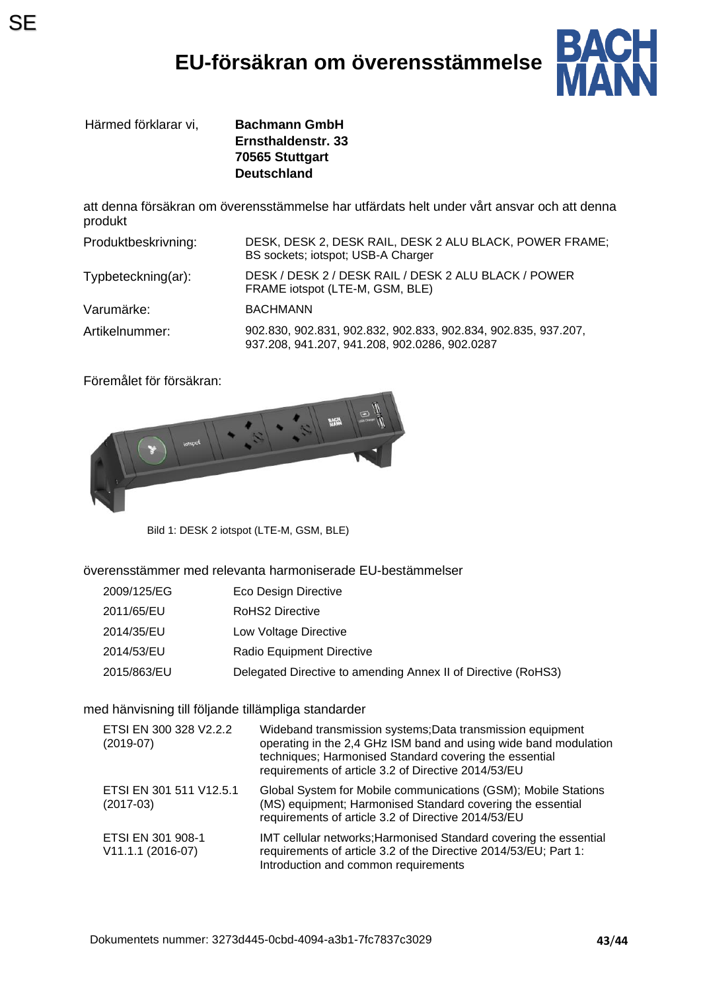# **EU-försäkran om överensstämmelse**



Härmed förklarar vi, **Bachmann GmbH**

**Ernsthaldenstr. 33 70565 Stuttgart Deutschland**

att denna försäkran om överensstämmelse har utfärdats helt under vårt ansvar och att denna produkt

| Produktbeskrivning: | DESK, DESK 2, DESK RAIL, DESK 2 ALU BLACK, POWER FRAME;<br>BS sockets; iotspot; USB-A Charger                   |
|---------------------|-----------------------------------------------------------------------------------------------------------------|
| Typbeteckning(ar):  | DESK / DESK 2 / DESK RAIL / DESK 2 ALU BLACK / POWER<br>FRAME iotspot (LTE-M, GSM, BLE)                         |
| Varumärke:          | <b>BACHMANN</b>                                                                                                 |
| Artikelnummer:      | 902.830, 902.831, 902.832, 902.833, 902.834, 902.835, 937.207,<br>937.208, 941.207, 941.208, 902.0286, 902.0287 |

Föremålet för försäkran:



Bild 1: DESK 2 iotspot (LTE-M, GSM, BLE)

#### överensstämmer med relevanta harmoniserade EU-bestämmelser

| 2009/125/EG | <b>Eco Design Directive</b> |
|-------------|-----------------------------|
|-------------|-----------------------------|

- 2011/65/EU RoHS2 Directive
- 2014/35/EU Low Voltage Directive
- 2014/53/EU Radio Equipment Directive
- 2015/863/EU Delegated Directive to amending Annex II of Directive (RoHS3)

#### med hänvisning till följande tillämpliga standarder

| ETSI EN 300 328 V2.2.2<br>$(2019-07)$  | Wideband transmission systems; Data transmission equipment<br>operating in the 2,4 GHz ISM band and using wide band modulation<br>techniques; Harmonised Standard covering the essential<br>requirements of article 3.2 of Directive 2014/53/EU |
|----------------------------------------|-------------------------------------------------------------------------------------------------------------------------------------------------------------------------------------------------------------------------------------------------|
| ETSI EN 301 511 V12.5.1<br>$(2017-03)$ | Global System for Mobile communications (GSM); Mobile Stations<br>(MS) equipment; Harmonised Standard covering the essential<br>requirements of article 3.2 of Directive 2014/53/EU                                                             |
| ETSI EN 301 908-1<br>V11.1.1 (2016-07) | IMT cellular networks; Harmonised Standard covering the essential<br>requirements of article 3.2 of the Directive 2014/53/EU; Part 1:<br>Introduction and common requirements                                                                   |